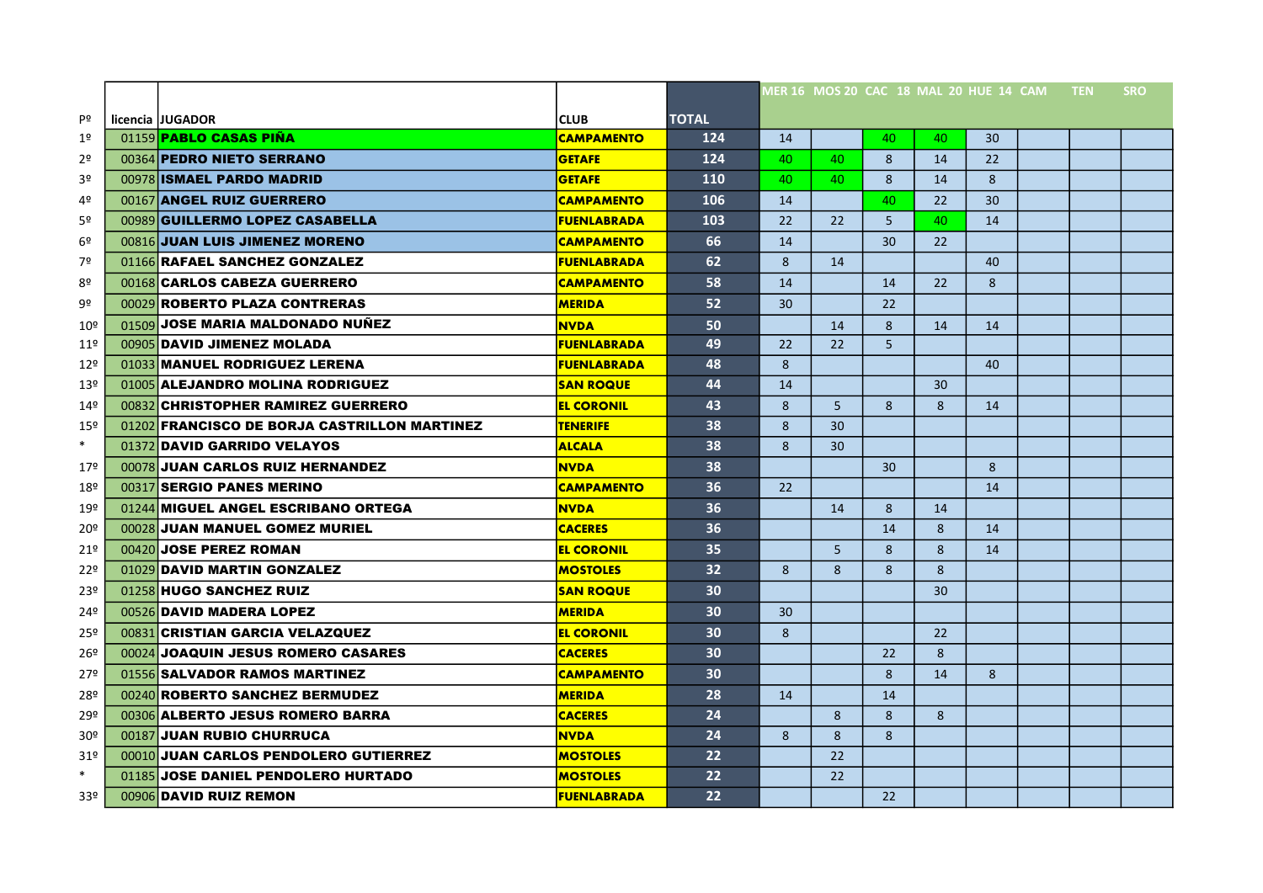|                 |                                              |                    |                   |    |     | MER 16 MOS 20 CAC 18 MAL 20 HUE 14 CAM TEN |    |    |  | <b>SRO</b> |
|-----------------|----------------------------------------------|--------------------|-------------------|----|-----|--------------------------------------------|----|----|--|------------|
| Pº              | licencia JJUGADOR                            | <b>CLUB</b>        | <b>TOTAL</b>      |    |     |                                            |    |    |  |            |
| 1º              | 01159 <b>PABLO CASAS PIÑA</b>                | <b>CAMPAMENTO</b>  | 124               | 14 |     | 40                                         | 40 | 30 |  |            |
| 2 <sup>o</sup>  | 00364 PEDRO NIETO SERRANO                    | <b>GETAFE</b>      | 124               | 40 | 40. | 8                                          | 14 | 22 |  |            |
| 3º              | 00978 ISMAEL PARDO MADRID                    | <b>GETAFE</b>      | 110               | 40 | 40. | 8                                          | 14 | 8  |  |            |
| 4º              | 00167 ANGEL RUIZ GUERRERO                    | <b>CAMPAMENTO</b>  | 106               | 14 |     | 40                                         | 22 | 30 |  |            |
| 5º              | 00989 GUILLERMO LOPEZ CASABELLA              | <b>FUENLABRADA</b> | 103               | 22 | 22  | 5                                          | 40 | 14 |  |            |
| 6º              | 00816 JUAN LUIS JIMENEZ MORENO               | <b>CAMPAMENTO</b>  | 66                | 14 |     | 30                                         | 22 |    |  |            |
| 7º              | 01166 RAFAEL SANCHEZ GONZALEZ                | <b>FUENLABRADA</b> | 62                | 8  | 14  |                                            |    | 40 |  |            |
| 8º              | 00168 CARLOS CABEZA GUERRERO                 | <b>CAMPAMENTO</b>  | 58                | 14 |     | 14                                         | 22 | 8  |  |            |
| 9º              | 00029 ROBERTO PLAZA CONTRERAS                | <b>MERIDA</b>      | 52                | 30 |     | 22                                         |    |    |  |            |
| $10^{\sf o}$    | 01509 JOSE MARIA MALDONADO NUÑEZ             | <b>NVDA</b>        | 50                |    | 14  | 8                                          | 14 | 14 |  |            |
| 11 <sup>°</sup> | 00905 DAVID JIMENEZ MOLADA                   | <b>FUENLABRADA</b> | 49                | 22 | 22  | 5                                          |    |    |  |            |
| $12^{\circ}$    | 01033 MANUEL RODRIGUEZ LERENA                | <b>FUENLABRADA</b> | 48                | 8  |     |                                            |    | 40 |  |            |
| 13º             | 01005 ALEJANDRO MOLINA RODRIGUEZ             | <b>SAN ROQUE</b>   | 44                | 14 |     |                                            | 30 |    |  |            |
| 14º             | 00832 CHRISTOPHER RAMIREZ GUERRERO           | <b>EL CORONIL</b>  | 43                | 8  | 5   | 8                                          | 8  | 14 |  |            |
| 15º             | 01202 FRANCISCO DE BORJA CASTRILLON MARTINEZ | <b>TENERIFE</b>    | 38                | 8  | 30  |                                            |    |    |  |            |
| $\ast$          | 01372 DAVID GARRIDO VELAYOS                  | <b>ALCALA</b>      | 38                | 8  | 30  |                                            |    |    |  |            |
| 17º             | 00078 JUAN CARLOS RUIZ HERNANDEZ             | <b>NVDA</b>        | 38                |    |     | 30                                         |    | 8  |  |            |
| 18º             | 00317 SERGIO PANES MERINO                    | <b>CAMPAMENTO</b>  | 36                | 22 |     |                                            |    | 14 |  |            |
| 19º             | 01244 MIGUEL ANGEL ESCRIBANO ORTEGA          | <b>NVDA</b>        | 36                |    | 14  | 8                                          | 14 |    |  |            |
| 20º             | 00028 JUAN MANUEL GOMEZ MURIEL               | <b>CACERES</b>     | 36                |    |     | 14                                         | 8  | 14 |  |            |
| 21 <sup>°</sup> | 00420 JOSE PEREZ ROMAN                       | <b>EL CORONIL</b>  | 35                |    | 5   | 8                                          | 8  | 14 |  |            |
| 22º             | 01029 DAVID MARTIN GONZALEZ                  | <b>MOSTOLES</b>    | 32 <sub>2</sub>   | 8  | 8   | 8                                          | 8  |    |  |            |
| 23º             | 01258 HUGO SANCHEZ RUIZ                      | <b>SAN ROQUE</b>   | 30                |    |     |                                            | 30 |    |  |            |
| 24º             | 00526 DAVID MADERA LOPEZ                     | <b>MERIDA</b>      | 30                | 30 |     |                                            |    |    |  |            |
| 25º             | 00831 CRISTIAN GARCIA VELAZQUEZ              | <b>EL CORONIL</b>  | 30                | 8  |     |                                            | 22 |    |  |            |
| 26º             | 00024 JOAQUIN JESUS ROMERO CASARES           | <b>CACERES</b>     | 30                |    |     | 22                                         | 8  |    |  |            |
| 27º             | 01556 SALVADOR RAMOS MARTINEZ                | <b>CAMPAMENTO</b>  | 30                |    |     | 8                                          | 14 | 8  |  |            |
| 28º             | 00240 ROBERTO SANCHEZ BERMUDEZ               | <b>MERIDA</b>      | 28                | 14 |     | 14                                         |    |    |  |            |
| 29º             | 00306 ALBERTO JESUS ROMERO BARRA             | <b>CACERES</b>     | 24                |    | 8   | 8                                          | 8  |    |  |            |
| 30 <sup>°</sup> | 00187 JUAN RUBIO CHURRUCA                    | <b>NVDA</b>        | 24                | 8  | 8   | 8                                          |    |    |  |            |
| 31 <sup>°</sup> | 00010 JUAN CARLOS PENDOLERO GUTIERREZ        | <b>MOSTOLES</b>    | $22 \overline{ }$ |    | 22  |                                            |    |    |  |            |
| $\ast$          | 01185 JOSE DANIEL PENDOLERO HURTADO          | <b>MOSTOLES</b>    | $22 \overline{ }$ |    | 22  |                                            |    |    |  |            |
| 33º             | 00906 DAVID RUIZ REMON                       | <b>FUENLABRADA</b> | 22                |    |     | 22                                         |    |    |  |            |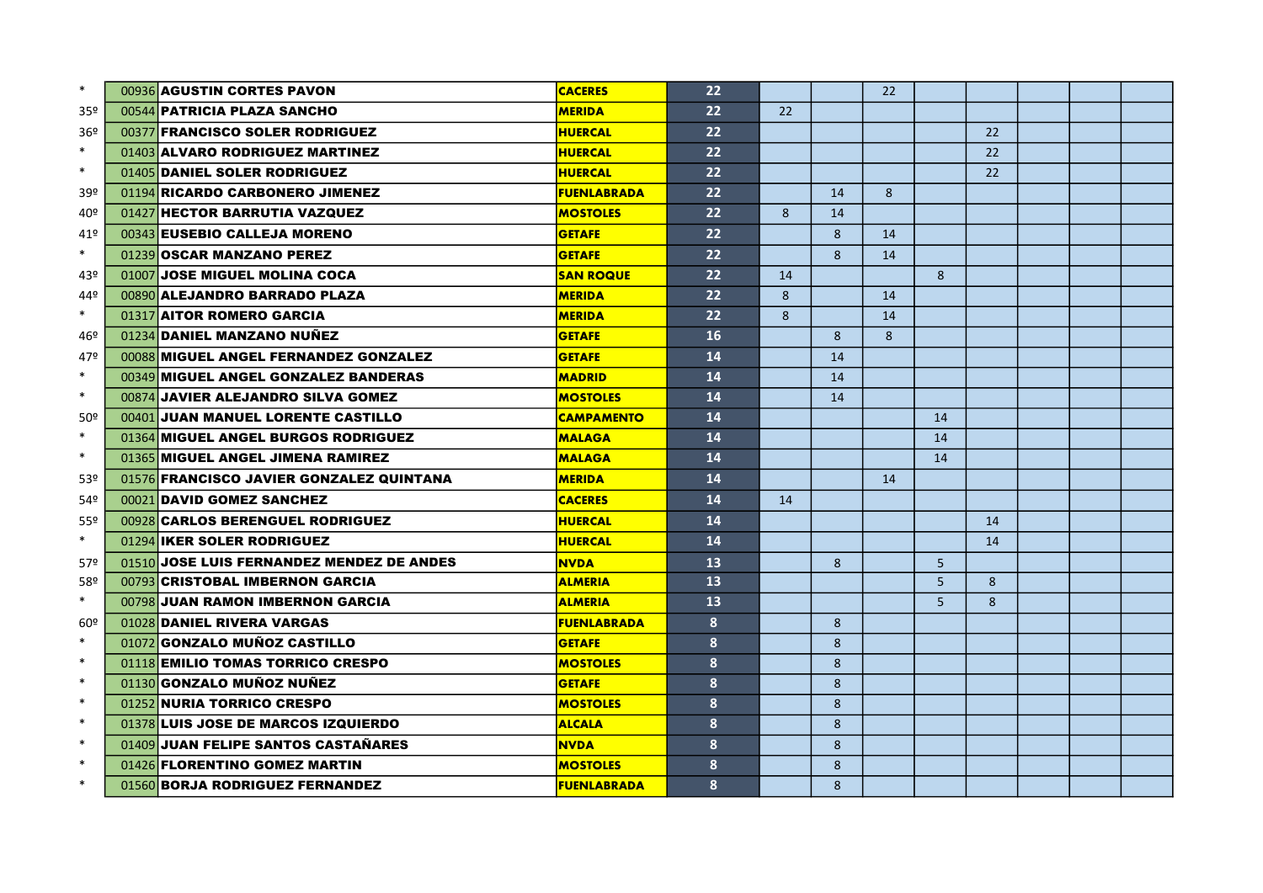| $\ast$          | 00936 AGUSTIN CORTES PAVON                | <b>CACERES</b>     | 22 |    |              | 22 |                |    |  |  |
|-----------------|-------------------------------------------|--------------------|----|----|--------------|----|----------------|----|--|--|
| 35º             | 00544 PATRICIA PLAZA SANCHO               | <b>MERIDA</b>      | 22 | 22 |              |    |                |    |  |  |
| 36 <sup>°</sup> | 00377 FRANCISCO SOLER RODRIGUEZ           | <b>HUERCAL</b>     | 22 |    |              |    |                | 22 |  |  |
| $\ast$          | 01403 ALVARO RODRIGUEZ MARTINEZ           | <b>HUERCAL</b>     | 22 |    |              |    |                | 22 |  |  |
| $\ast$          | 01405 DANIEL SOLER RODRIGUEZ              | <b>HUERCAL</b>     | 22 |    |              |    |                | 22 |  |  |
| 39º             | 01194 RICARDO CARBONERO JIMENEZ           | <b>FUENLABRADA</b> | 22 |    | 14           | 8  |                |    |  |  |
| 40º             | 01427 HECTOR BARRUTIA VAZQUEZ             | <b>MOSTOLES</b>    | 22 | 8  | 14           |    |                |    |  |  |
| 41º             | 00343 EUSEBIO CALLEJA MORENO              | <b>GETAFE</b>      | 22 |    | 8            | 14 |                |    |  |  |
| $\ast$          | 01239 OSCAR MANZANO PEREZ                 | <b>GETAFE</b>      | 22 |    | 8            | 14 |                |    |  |  |
| 43º             | 01007 JOSE MIGUEL MOLINA COCA             | <b>SAN ROQUE</b>   | 22 | 14 |              |    | 8              |    |  |  |
| 44º             | 00890 ALEJANDRO BARRADO PLAZA             | <b>MERIDA</b>      | 22 | 8  |              | 14 |                |    |  |  |
| $\ast$          | 01317 AITOR ROMERO GARCIA                 | <b>MERIDA</b>      | 22 | 8  |              | 14 |                |    |  |  |
| 46º             | 01234 DANIEL MANZANO NUÑEZ                | <b>GETAFE</b>      | 16 |    | 8            | 8  |                |    |  |  |
| 47º             | 00088 MIGUEL ANGEL FERNANDEZ GONZALEZ     | <b>GETAFE</b>      | 14 |    | 14           |    |                |    |  |  |
| $\ast$          | 00349 MIGUEL ANGEL GONZALEZ BANDERAS      | <b>MADRID</b>      | 14 |    | 14           |    |                |    |  |  |
| $\ast$          | 00874 JAVIER ALEJANDRO SILVA GOMEZ        | <b>MOSTOLES</b>    | 14 |    | 14           |    |                |    |  |  |
| 50º             | 00401 JUAN MANUEL LORENTE CASTILLO        | <b>CAMPAMENTO</b>  | 14 |    |              |    | 14             |    |  |  |
| $\ast$          | 01364 MIGUEL ANGEL BURGOS RODRIGUEZ       | <b>MALAGA</b>      | 14 |    |              |    | 14             |    |  |  |
| $\ast$          | 01365 MIGUEL ANGEL JIMENA RAMIREZ         | <b>MALAGA</b>      | 14 |    |              |    | 14             |    |  |  |
| 53º             | 01576 FRANCISCO JAVIER GONZALEZ QUINTANA  | <b>MERIDA</b>      | 14 |    |              | 14 |                |    |  |  |
| 54º             | 00021 DAVID GOMEZ SANCHEZ                 | <b>CACERES</b>     | 14 | 14 |              |    |                |    |  |  |
| 55º             | 00928 CARLOS BERENGUEL RODRIGUEZ          | <b>HUERCAL</b>     | 14 |    |              |    |                | 14 |  |  |
| $\ast$          | 01294 IKER SOLER RODRIGUEZ                | <b>HUERCAL</b>     | 14 |    |              |    |                | 14 |  |  |
| 57º             | 01510 JOSE LUIS FERNANDEZ MENDEZ DE ANDES | <b>NVDA</b>        | 13 |    | 8            |    | 5              |    |  |  |
| 58º             | 00793 CRISTOBAL IMBERNON GARCIA           | <b>ALMERIA</b>     | 13 |    |              |    | 5 <sup>5</sup> | 8  |  |  |
| $\ast$          | 00798 JUAN RAMON IMBERNON GARCIA          | <b>ALMERIA</b>     | 13 |    |              |    | 5 <sup>1</sup> | 8  |  |  |
| 60º             | 01028 DANIEL RIVERA VARGAS                | <b>FUENLABRADA</b> | 8  |    | 8            |    |                |    |  |  |
| $\ast$          | 01072 GONZALO MUÑOZ CASTILLO              | <b>GETAFE</b>      | 8  |    | 8            |    |                |    |  |  |
| $\ast$          | 01118 EMILIO TOMAS TORRICO CRESPO         | <b>MOSTOLES</b>    | 8  |    | 8            |    |                |    |  |  |
| $\ast$          | 01130 GONZALO MUÑOZ NUÑEZ                 | <b>GETAFE</b>      | 8  |    | 8            |    |                |    |  |  |
| $\ast$          | 01252 NURIA TORRICO CRESPO                | <b>MOSTOLES</b>    | 8  |    | 8            |    |                |    |  |  |
| $\ast$          | 01378 LUIS JOSE DE MARCOS IZQUIERDO       | <b>ALCALA</b>      | 8  |    | 8            |    |                |    |  |  |
| $\ast$          | 01409 JUAN FELIPE SANTOS CASTAÑARES       | <b>NVDA</b>        | 8  |    | 8            |    |                |    |  |  |
| $\ast$          | 01426 FLORENTINO GOMEZ MARTIN             | <b>MOSTOLES</b>    | 8  |    | 8            |    |                |    |  |  |
| $\ast$          | 01560 BORJA RODRIGUEZ FERNANDEZ           | <b>FUENLABRADA</b> | 8  |    | $\mathsf{R}$ |    |                |    |  |  |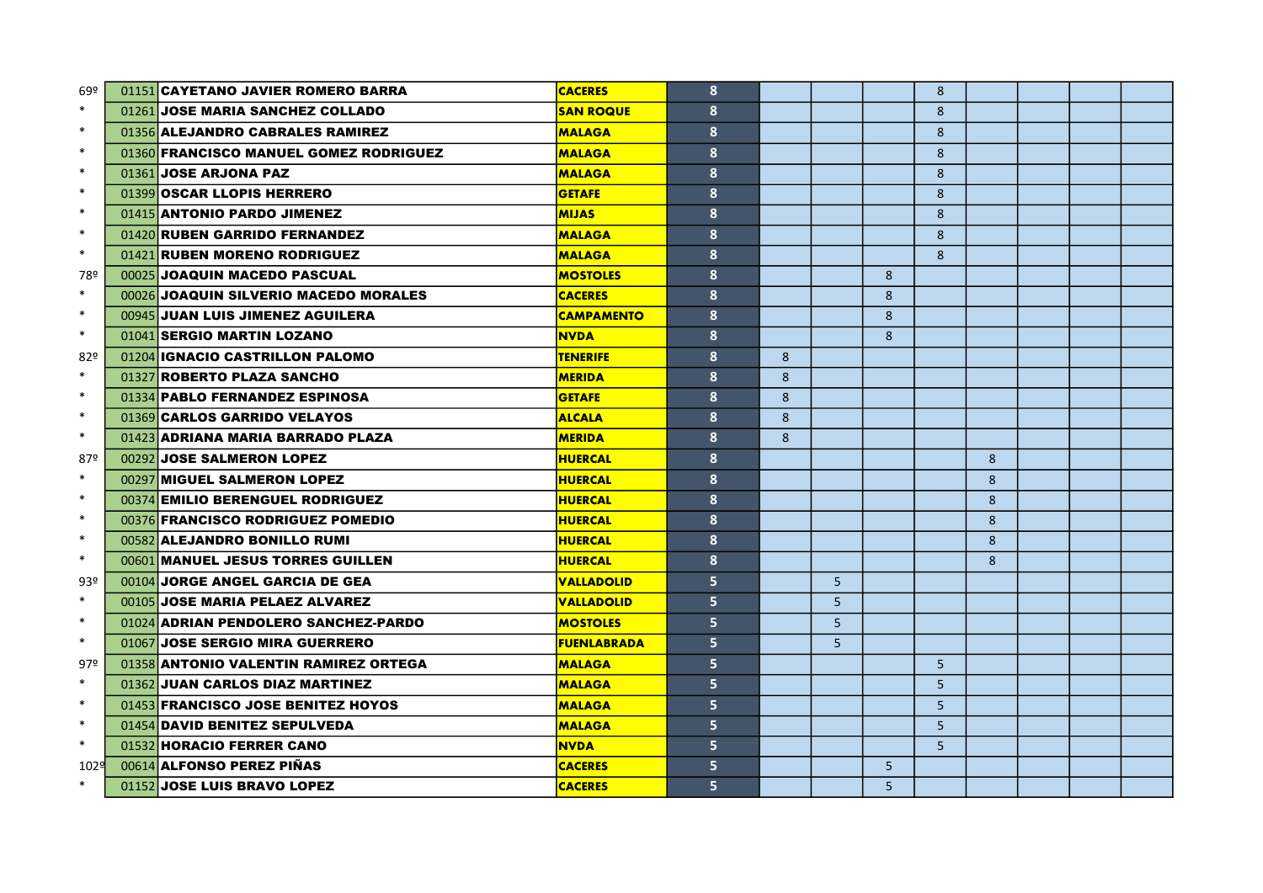| 69º    | 01151 CAYETANO JAVIER ROMERO BARRA     | <b>CACERES</b>     | 8 |   |                |   | 8              |   |  |  |
|--------|----------------------------------------|--------------------|---|---|----------------|---|----------------|---|--|--|
| $\ast$ | 01261 JOSE MARIA SANCHEZ COLLADO       | <b>SAN ROQUE</b>   | 8 |   |                |   | 8              |   |  |  |
| $\ast$ | 01356 ALEJANDRO CABRALES RAMIREZ       | <b>MALAGA</b>      | 8 |   |                |   | 8              |   |  |  |
| $\ast$ | 01360 FRANCISCO MANUEL GOMEZ RODRIGUEZ | <b>MALAGA</b>      | 8 |   |                |   | 8              |   |  |  |
| $\ast$ | 01361 JOSE ARJONA PAZ                  | <b>MALAGA</b>      | 8 |   |                |   | 8              |   |  |  |
| $\ast$ | 01399 OSCAR LLOPIS HERRERO             | <b>GETAFE</b>      | 8 |   |                |   | 8              |   |  |  |
| $\ast$ | 01415 ANTONIO PARDO JIMENEZ            | <b>MIJAS</b>       | 8 |   |                |   | 8              |   |  |  |
| $\ast$ | 01420 RUBEN GARRIDO FERNANDEZ          | <b>MALAGA</b>      | 8 |   |                |   | $\mathbf{8}$   |   |  |  |
| $\ast$ | 01421 RUBEN MORENO RODRIGUEZ           | <b>MALAGA</b>      | 8 |   |                |   | 8              |   |  |  |
| 78º    | 00025 JOAQUIN MACEDO PASCUAL           | <b>MOSTOLES</b>    | 8 |   |                | 8 |                |   |  |  |
| $\ast$ | 00026 JOAQUIN SILVERIO MACEDO MORALES  | <b>CACERES</b>     | 8 |   |                | 8 |                |   |  |  |
| $\ast$ | 00945 JUAN LUIS JIMENEZ AGUILERA       | <b>CAMPAMENTO</b>  | 8 |   |                | 8 |                |   |  |  |
| $\ast$ | 01041 SERGIO MARTIN LOZANO             | <b>NVDA</b>        | 8 |   |                | 8 |                |   |  |  |
| 82º    | 01204 IGNACIO CASTRILLON PALOMO        | <b>TENERIFE</b>    | 8 | 8 |                |   |                |   |  |  |
| $\ast$ | 01327 ROBERTO PLAZA SANCHO             | <b>MERIDA</b>      | 8 | 8 |                |   |                |   |  |  |
| $\ast$ | 01334 PABLO FERNANDEZ ESPINOSA         | <b>GETAFE</b>      | 8 | 8 |                |   |                |   |  |  |
| $\ast$ | 01369 CARLOS GARRIDO VELAYOS           | <b>ALCALA</b>      | 8 | 8 |                |   |                |   |  |  |
| $\ast$ | 01423 ADRIANA MARIA BARRADO PLAZA      | <b>MERIDA</b>      | 8 | 8 |                |   |                |   |  |  |
| 87º    | 00292 JOSE SALMERON LOPEZ              | <b>HUERCAL</b>     | 8 |   |                |   |                | 8 |  |  |
| $\ast$ | 00297 MIGUEL SALMERON LOPEZ            | <b>HUERCAL</b>     | 8 |   |                |   |                | 8 |  |  |
| $\ast$ | 00374 EMILIO BERENGUEL RODRIGUEZ       | <b>HUERCAL</b>     | 8 |   |                |   |                | 8 |  |  |
| $\ast$ | 00376 FRANCISCO RODRIGUEZ POMEDIO      | <b>HUERCAL</b>     | 8 |   |                |   |                | 8 |  |  |
| $\ast$ | 00582 ALEJANDRO BONILLO RUMI           | <b>HUERCAL</b>     | 8 |   |                |   |                | 8 |  |  |
| $\ast$ | 00601 MANUEL JESUS TORRES GUILLEN      | <b>HUERCAL</b>     | 8 |   |                |   |                | 8 |  |  |
| 93º    | 00104 JORGE ANGEL GARCIA DE GEA        | <b>VALLADOLID</b>  | 5 |   | 5              |   |                |   |  |  |
| $\ast$ | 00105 JOSE MARIA PELAEZ ALVAREZ        | <b>VALLADOLID</b>  | 5 |   | 5 <sup>1</sup> |   |                |   |  |  |
| $\ast$ | 01024 ADRIAN PENDOLERO SANCHEZ-PARDO   | <b>MOSTOLES</b>    | 5 |   | 5 <sup>1</sup> |   |                |   |  |  |
| $\ast$ | 01067 JOSE SERGIO MIRA GUERRERO        | <b>FUENLABRADA</b> | 5 |   | 5 <sup>1</sup> |   |                |   |  |  |
| 97º    | 01358 ANTONIO VALENTIN RAMIREZ ORTEGA  | <b>MALAGA</b>      | 5 |   |                |   | 5 <sup>1</sup> |   |  |  |
| $\ast$ | 01362 JUAN CARLOS DIAZ MARTINEZ        | <b>MALAGA</b>      | 5 |   |                |   | 5 <sup>5</sup> |   |  |  |
| $\ast$ | 01453 FRANCISCO JOSE BENITEZ HOYOS     | <b>MALAGA</b>      | 5 |   |                |   | 5 <sup>1</sup> |   |  |  |
| $\ast$ | 01454 DAVID BENITEZ SEPULVEDA          | <b>MALAGA</b>      | 5 |   |                |   | 5 <sup>1</sup> |   |  |  |
| $\ast$ | 01532 HORACIO FERRER CANO              | <b>NVDA</b>        | 5 |   |                |   | 5 <sup>5</sup> |   |  |  |
| 102의   | 00614 ALFONSO PEREZ PIÑAS              | <b>CACERES</b>     | 5 |   |                | 5 |                |   |  |  |
| $\ast$ | 01152 JOSE LUIS BRAVO LOPEZ            | <b>CACERES</b>     | 5 |   |                | 5 |                |   |  |  |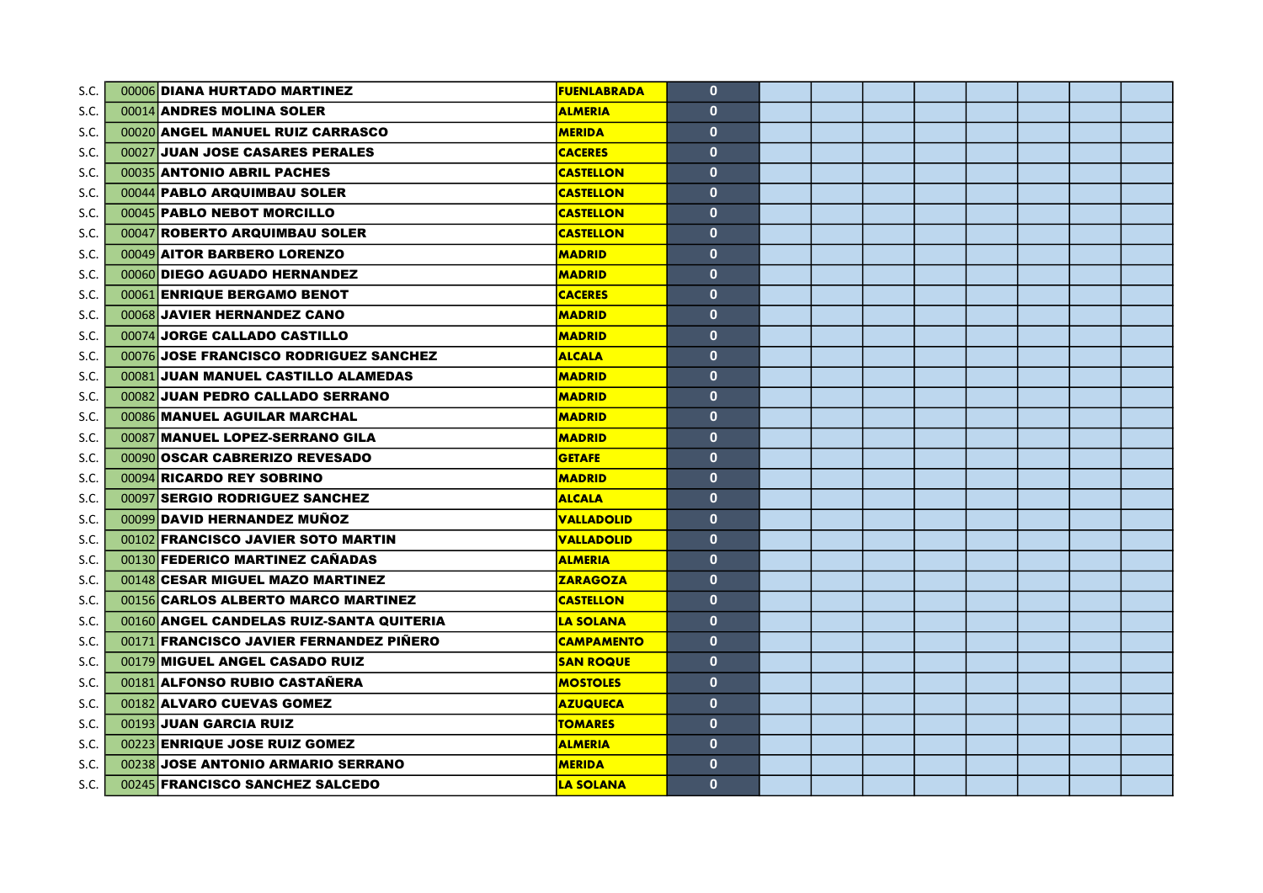| S.C. | 00006 DIANA HURTADO MARTINEZ             | <b>FUENLABRADA</b> | $\mathbf{0}$ |  |  |  |  |
|------|------------------------------------------|--------------------|--------------|--|--|--|--|
| S.C. | 00014 ANDRES MOLINA SOLER                | <b>ALMERIA</b>     | $\mathbf{0}$ |  |  |  |  |
| S.C. | 00020 ANGEL MANUEL RUIZ CARRASCO         | <b>MERIDA</b>      | $\mathbf{0}$ |  |  |  |  |
| S.C. | 00027 JUAN JOSE CASARES PERALES          | <b>CACERES</b>     | $\mathbf{0}$ |  |  |  |  |
| S.C. | 00035 ANTONIO ABRIL PACHES               | <b>CASTELLON</b>   | $\mathbf{0}$ |  |  |  |  |
| S.C. | 00044 PABLO ARQUIMBAU SOLER              | <b>CASTELLON</b>   | $\mathbf{0}$ |  |  |  |  |
| S.C. | 00045 PABLO NEBOT MORCILLO               | <b>CASTELLON</b>   | $\mathbf{0}$ |  |  |  |  |
| S.C. | 00047 ROBERTO ARQUIMBAU SOLER            | <b>CASTELLON</b>   | $\mathbf{0}$ |  |  |  |  |
| S.C. | 00049 AITOR BARBERO LORENZO              | <b>MADRID</b>      | $\mathbf{0}$ |  |  |  |  |
| S.C. | 00060 DIEGO AGUADO HERNANDEZ             | <b>MADRID</b>      | $\mathbf{0}$ |  |  |  |  |
| S.C. | 00061 ENRIQUE BERGAMO BENOT              | <b>CACERES</b>     | $\mathbf{0}$ |  |  |  |  |
| S.C. | 00068 JAVIER HERNANDEZ CANO              | <b>MADRID</b>      | $\mathbf{0}$ |  |  |  |  |
| S.C. | 00074 JORGE CALLADO CASTILLO             | <b>MADRID</b>      | $\mathbf{0}$ |  |  |  |  |
| S.C. | 00076 JOSE FRANCISCO RODRIGUEZ SANCHEZ   | <b>ALCALA</b>      | $\mathbf{0}$ |  |  |  |  |
| S.C. | 00081 JUAN MANUEL CASTILLO ALAMEDAS      | <b>MADRID</b>      | $\mathbf{0}$ |  |  |  |  |
| S.C. | 00082 JUAN PEDRO CALLADO SERRANO         | <b>MADRID</b>      | $\mathbf{0}$ |  |  |  |  |
| S.C. | 00086 MANUEL AGUILAR MARCHAL             | <b>MADRID</b>      | $\mathbf{0}$ |  |  |  |  |
| S.C. | 00087 MANUEL LOPEZ-SERRANO GILA          | <b>MADRID</b>      | $\mathbf{0}$ |  |  |  |  |
| S.C. | 00090 OSCAR CABRERIZO REVESADO           | <b>GETAFE</b>      | $\mathbf{0}$ |  |  |  |  |
| S.C. | 00094 RICARDO REY SOBRINO                | <b>MADRID</b>      | $\mathbf{0}$ |  |  |  |  |
| S.C. | 00097 SERGIO RODRIGUEZ SANCHEZ           | <b>ALCALA</b>      | $\mathbf{0}$ |  |  |  |  |
| S.C. | 00099 DAVID HERNANDEZ MUÑOZ              | <b>VALLADOLID</b>  | $\mathbf{0}$ |  |  |  |  |
| S.C. | 00102 FRANCISCO JAVIER SOTO MARTIN       | <b>VALLADOLID</b>  | $\mathbf{0}$ |  |  |  |  |
| S.C. | 00130 FEDERICO MARTINEZ CAÑADAS          | <b>ALMERIA</b>     | $\mathbf{0}$ |  |  |  |  |
| S.C. | 00148 CESAR MIGUEL MAZO MARTINEZ         | <b>ZARAGOZA</b>    | $\mathbf{0}$ |  |  |  |  |
| S.C. | 00156 CARLOS ALBERTO MARCO MARTINEZ      | <b>CASTELLON</b>   | $\mathbf{0}$ |  |  |  |  |
| S.C. | 00160 ANGEL CANDELAS RUIZ-SANTA QUITERIA | <b>LA SOLANA</b>   | $\mathbf{0}$ |  |  |  |  |
| S.C. | 00171 FRANCISCO JAVIER FERNANDEZ PIÑERO  | <b>CAMPAMENTO</b>  | $\mathbf{0}$ |  |  |  |  |
| S.C. | 00179 MIGUEL ANGEL CASADO RUIZ           | <b>SAN ROQUE</b>   | $\mathbf{0}$ |  |  |  |  |
| S.C. | 00181 ALFONSO RUBIO CASTAÑERA            | <b>MOSTOLES</b>    | $\mathbf{0}$ |  |  |  |  |
| S.C. | 00182 ALVARO CUEVAS GOMEZ                | <b>AZUQUECA</b>    | $\mathbf{0}$ |  |  |  |  |
| S.C. | 00193 JUAN GARCIA RUIZ                   | <b>TOMARES</b>     | $\mathbf{0}$ |  |  |  |  |
| S.C. | 00223 ENRIQUE JOSE RUIZ GOMEZ            | <b>ALMERIA</b>     | $\mathbf{0}$ |  |  |  |  |
| S.C. | 00238 JOSE ANTONIO ARMARIO SERRANO       | <b>MERIDA</b>      | $\mathbf{0}$ |  |  |  |  |
| S.C. | 00245 FRANCISCO SANCHEZ SALCEDO          | <b>LA SOLANA</b>   | $\mathbf{0}$ |  |  |  |  |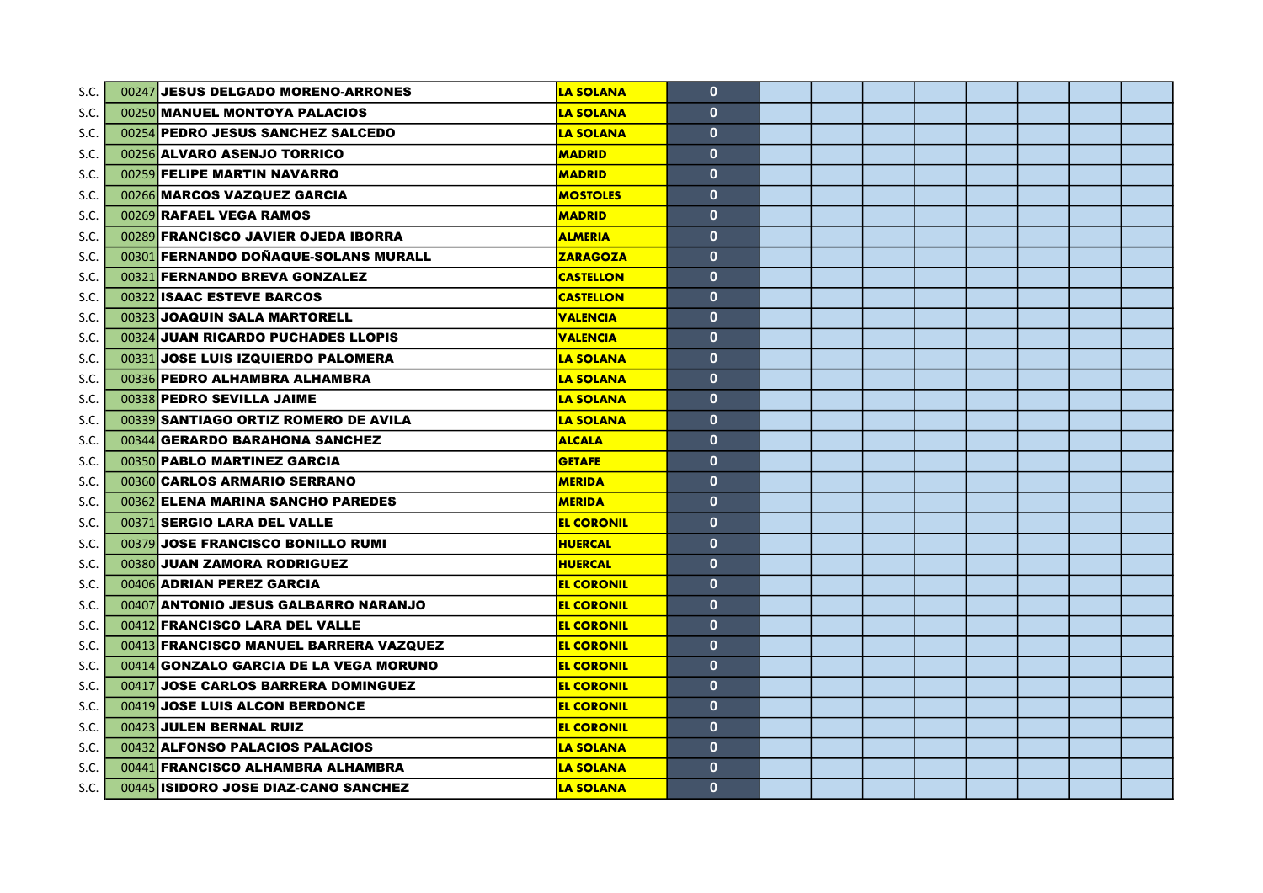| S.C. | 00247 JESUS DELGADO MORENO-ARRONES            | <b>LA SOLANA</b>  | $\mathbf{0}$ |  |  |  |  |
|------|-----------------------------------------------|-------------------|--------------|--|--|--|--|
| S.C. | 00250 MANUEL MONTOYA PALACIOS                 | <b>LA SOLANA</b>  | $\mathbf{0}$ |  |  |  |  |
| S.C. | 00254 PEDRO JESUS SANCHEZ SALCEDO             | <b>LA SOLANA</b>  | $\mathbf{0}$ |  |  |  |  |
| S.C. | 00256 ALVARO ASENJO TORRICO                   | <b>MADRID</b>     | $\mathbf{0}$ |  |  |  |  |
| S.C. | 00259 FELIPE MARTIN NAVARRO                   | <b>MADRID</b>     | $\mathbf{0}$ |  |  |  |  |
| S.C. | 00266 MARCOS VAZQUEZ GARCIA                   | <b>MOSTOLES</b>   | $\mathbf{0}$ |  |  |  |  |
| S.C. | 00269 RAFAEL VEGA RAMOS                       | <b>MADRID</b>     | $\mathbf{0}$ |  |  |  |  |
| S.C. | 00289 FRANCISCO JAVIER OJEDA IBORRA           | <b>ALMERIA</b>    | $\mathbf{0}$ |  |  |  |  |
| S.C. | 00301 FERNANDO DOÑAQUE-SOLANS MURALL          | <b>ZARAGOZA</b>   | $\mathbf{0}$ |  |  |  |  |
| S.C. | 00321 FERNANDO BREVA GONZALEZ                 | <b>CASTELLON</b>  | $\mathbf{0}$ |  |  |  |  |
| S.C. | 00322 ISAAC ESTEVE BARCOS                     | <b>CASTELLON</b>  | $\mathbf{0}$ |  |  |  |  |
| S.C. | 00323 JOAQUIN SALA MARTORELL                  | <b>VALENCIA</b>   | $\mathbf{0}$ |  |  |  |  |
| S.C. | 00324 JUAN RICARDO PUCHADES LLOPIS            | <b>VALENCIA</b>   | $\mathbf{0}$ |  |  |  |  |
| S.C. | 00331 JOSE LUIS IZQUIERDO PALOMERA            | <b>LA SOLANA</b>  | $\mathbf{0}$ |  |  |  |  |
| S.C. | 00336 PEDRO ALHAMBRA ALHAMBRA                 | <b>LA SOLANA</b>  | $\mathbf{0}$ |  |  |  |  |
| S.C. | 00338 PEDRO SEVILLA JAIME                     | <b>LA SOLANA</b>  | $\mathbf{0}$ |  |  |  |  |
| S.C. | 00339 SANTIAGO ORTIZ ROMERO DE AVILA          | <b>LA SOLANA</b>  | $\mathbf{0}$ |  |  |  |  |
| S.C. | 00344 GERARDO BARAHONA SANCHEZ                | <b>ALCALA</b>     | $\mathbf{0}$ |  |  |  |  |
| S.C. | 00350 PABLO MARTINEZ GARCIA                   | <b>GETAFE</b>     | $\mathbf{0}$ |  |  |  |  |
| S.C. | 00360 CARLOS ARMARIO SERRANO                  | <b>MERIDA</b>     | $\mathbf{0}$ |  |  |  |  |
| S.C. | 00362 ELENA MARINA SANCHO PAREDES             | <b>MERIDA</b>     | $\mathbf{0}$ |  |  |  |  |
| S.C. | 00371 SERGIO LARA DEL VALLE                   | <b>EL CORONIL</b> | $\mathbf{0}$ |  |  |  |  |
| S.C. | 00379 JOSE FRANCISCO BONILLO RUMI             | <b>HUERCAL</b>    | $\mathbf{0}$ |  |  |  |  |
| S.C. | 00380 JUAN ZAMORA RODRIGUEZ                   | <b>HUERCAL</b>    | $\mathbf{0}$ |  |  |  |  |
| S.C. | 00406 ADRIAN PEREZ GARCIA                     | <b>EL CORONIL</b> | $\mathbf{0}$ |  |  |  |  |
| S.C. | 00407 ANTONIO JESUS GALBARRO NARANJO          | <b>EL CORONIL</b> | $\mathbf{0}$ |  |  |  |  |
| S.C. | 00412 FRANCISCO LARA DEL VALLE                | <b>EL CORONIL</b> | $\mathbf{0}$ |  |  |  |  |
| S.C. | 00413 FRANCISCO MANUEL BARRERA VAZQUEZ        | <b>EL CORONIL</b> | $\mathbf{0}$ |  |  |  |  |
| S.C. | 00414 <b>GONZALO GARCIA DE LA VEGA MORUNO</b> | <b>EL CORONIL</b> | $\mathbf{0}$ |  |  |  |  |
| S.C. | 00417 JOSE CARLOS BARRERA DOMINGUEZ           | <b>EL CORONIL</b> | $\mathbf{0}$ |  |  |  |  |
| S.C. | 00419 JOSE LUIS ALCON BERDONCE                | <b>EL CORONIL</b> | $\mathbf{0}$ |  |  |  |  |
| S.C. | 00423 JULEN BERNAL RUIZ                       | <b>EL CORONIL</b> | $\mathbf{0}$ |  |  |  |  |
| S.C. | 00432 ALFONSO PALACIOS PALACIOS               | <b>LA SOLANA</b>  | $\mathbf{0}$ |  |  |  |  |
| S.C. | 00441 FRANCISCO ALHAMBRA ALHAMBRA             | <b>LA SOLANA</b>  | $\mathbf{0}$ |  |  |  |  |
| S.C. | 00445 ISIDORO JOSE DIAZ-CANO SANCHEZ          | <b>LA SOLANA</b>  | $\mathbf{0}$ |  |  |  |  |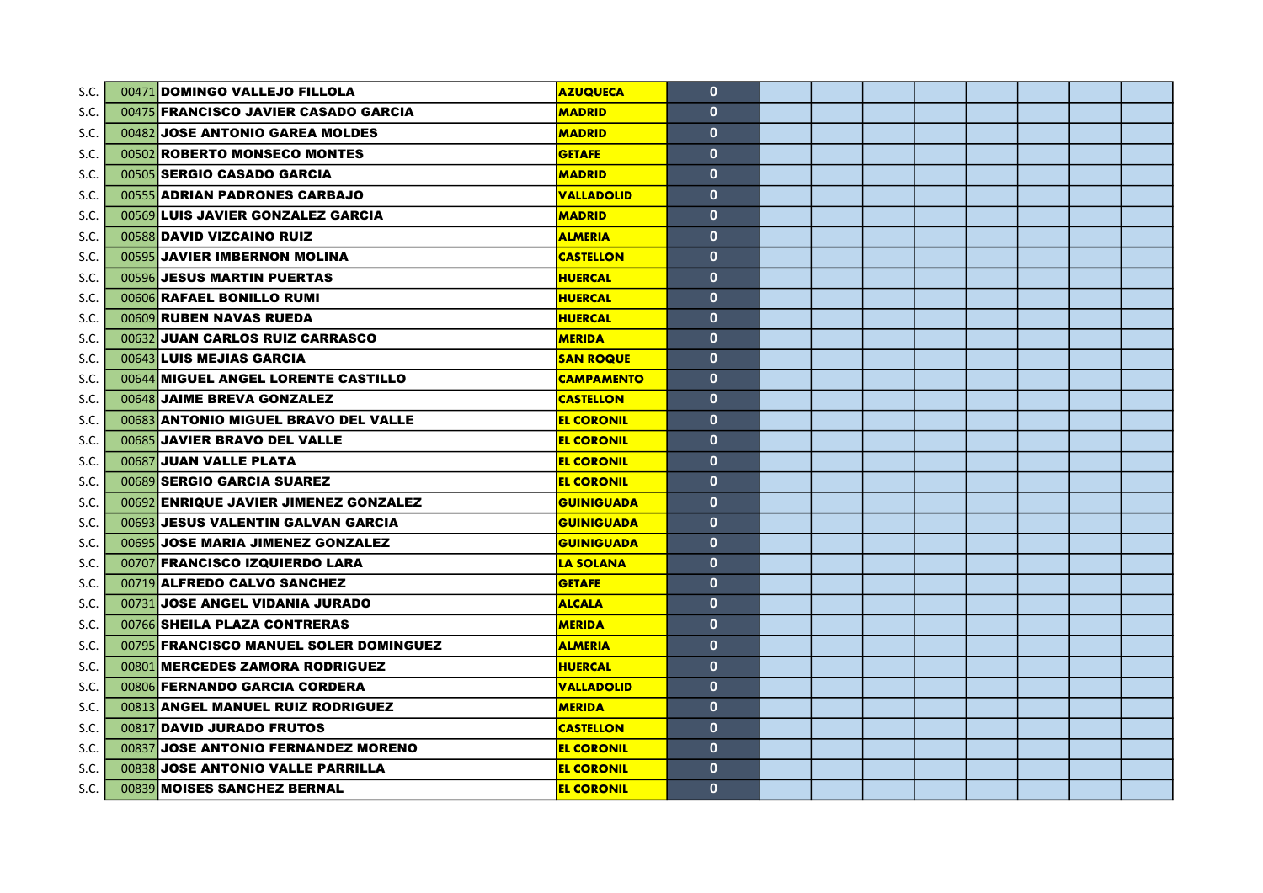| S.C. | 00471 DOMINGO VALLEJO FILLOLA          | <b>AZUQUECA</b>   | $\mathbf{0}$ |  |  |  |  |
|------|----------------------------------------|-------------------|--------------|--|--|--|--|
| S.C. | 00475 FRANCISCO JAVIER CASADO GARCIA   | <b>MADRID</b>     | $\mathbf{0}$ |  |  |  |  |
| S.C. | 00482 JOSE ANTONIO GAREA MOLDES        | <b>MADRID</b>     | $\mathbf{0}$ |  |  |  |  |
| S.C. | 00502 ROBERTO MONSECO MONTES           | <b>GETAFE</b>     | $\mathbf{0}$ |  |  |  |  |
| S.C. | 00505 SERGIO CASADO GARCIA             | <b>MADRID</b>     | $\mathbf{0}$ |  |  |  |  |
| S.C. | 00555 ADRIAN PADRONES CARBAJO          | <b>VALLADOLID</b> | $\mathbf{0}$ |  |  |  |  |
| S.C. | 00569 LUIS JAVIER GONZALEZ GARCIA      | <b>MADRID</b>     | $\mathbf{0}$ |  |  |  |  |
| S.C. | 00588 DAVID VIZCAINO RUIZ              | <b>ALMERIA</b>    | $\mathbf{0}$ |  |  |  |  |
| S.C. | 00595 JAVIER IMBERNON MOLINA           | <b>CASTELLON</b>  | $\mathbf{0}$ |  |  |  |  |
| S.C. | 00596 JESUS MARTIN PUERTAS             | <b>HUERCAL</b>    | $\mathbf{0}$ |  |  |  |  |
| S.C. | 00606 RAFAEL BONILLO RUMI              | <b>HUERCAL</b>    | $\mathbf{0}$ |  |  |  |  |
| S.C. | 00609 RUBEN NAVAS RUEDA                | <b>HUERCAL</b>    | $\mathbf{0}$ |  |  |  |  |
| S.C. | 00632 JUAN CARLOS RUIZ CARRASCO        | <b>MERIDA</b>     | $\mathbf{0}$ |  |  |  |  |
| S.C. | 00643 LUIS MEJIAS GARCIA               | <b>SAN ROQUE</b>  | $\mathbf{0}$ |  |  |  |  |
| S.C. | 00644 MIGUEL ANGEL LORENTE CASTILLO    | <b>CAMPAMENTO</b> | $\mathbf{0}$ |  |  |  |  |
| S.C. | 00648 JAIME BREVA GONZALEZ             | <b>CASTELLON</b>  | $\mathbf{0}$ |  |  |  |  |
| S.C. | 00683 ANTONIO MIGUEL BRAVO DEL VALLE   | <b>EL CORONIL</b> | $\mathbf{0}$ |  |  |  |  |
| S.C. | 00685 JAVIER BRAVO DEL VALLE           | <b>EL CORONIL</b> | $\mathbf{0}$ |  |  |  |  |
| S.C. | 00687 JUAN VALLE PLATA                 | <b>EL CORONIL</b> | $\mathbf{0}$ |  |  |  |  |
| S.C. | 00689 SERGIO GARCIA SUAREZ             | <b>EL CORONIL</b> | $\mathbf{0}$ |  |  |  |  |
| S.C. | 00692 ENRIQUE JAVIER JIMENEZ GONZALEZ  | <b>GUINIGUADA</b> | $\mathbf{0}$ |  |  |  |  |
| S.C. | 00693 JESUS VALENTIN GALVAN GARCIA     | <b>GUINIGUADA</b> | $\mathbf{0}$ |  |  |  |  |
| S.C. | 00695 JOSE MARIA JIMENEZ GONZALEZ      | <b>GUINIGUADA</b> | $\mathbf{0}$ |  |  |  |  |
| S.C. | 00707 FRANCISCO IZQUIERDO LARA         | <b>LA SOLANA</b>  | $\mathbf{0}$ |  |  |  |  |
| S.C. | 00719 ALFREDO CALVO SANCHEZ            | <b>GETAFE</b>     | $\mathbf{0}$ |  |  |  |  |
| S.C. | 00731 JOSE ANGEL VIDANIA JURADO        | <b>ALCALA</b>     | $\mathbf{0}$ |  |  |  |  |
| S.C. | 00766 SHEILA PLAZA CONTRERAS           | <b>MERIDA</b>     | $\mathbf{0}$ |  |  |  |  |
| S.C. | 00795 FRANCISCO MANUEL SOLER DOMINGUEZ | <b>ALMERIA</b>    | $\mathbf{0}$ |  |  |  |  |
| S.C. | 00801 MERCEDES ZAMORA RODRIGUEZ        | <b>HUERCAL</b>    | $\mathbf{0}$ |  |  |  |  |
| S.C. | 00806 FERNANDO GARCIA CORDERA          | <b>VALLADOLID</b> | $\mathbf{0}$ |  |  |  |  |
| S.C. | 00813 ANGEL MANUEL RUIZ RODRIGUEZ      | <b>MERIDA</b>     | $\mathbf{0}$ |  |  |  |  |
| S.C. | 00817 DAVID JURADO FRUTOS              | <b>CASTELLON</b>  | $\mathbf{0}$ |  |  |  |  |
| S.C. | 00837 JOSE ANTONIO FERNANDEZ MORENO    | <b>EL CORONIL</b> | $\mathbf{0}$ |  |  |  |  |
| S.C. | 00838 JOSE ANTONIO VALLE PARRILLA      | <b>EL CORONIL</b> | $\mathbf{0}$ |  |  |  |  |
| S.C. | 00839 MOISES SANCHEZ BERNAL            | <b>EL CORONIL</b> | $\mathbf{0}$ |  |  |  |  |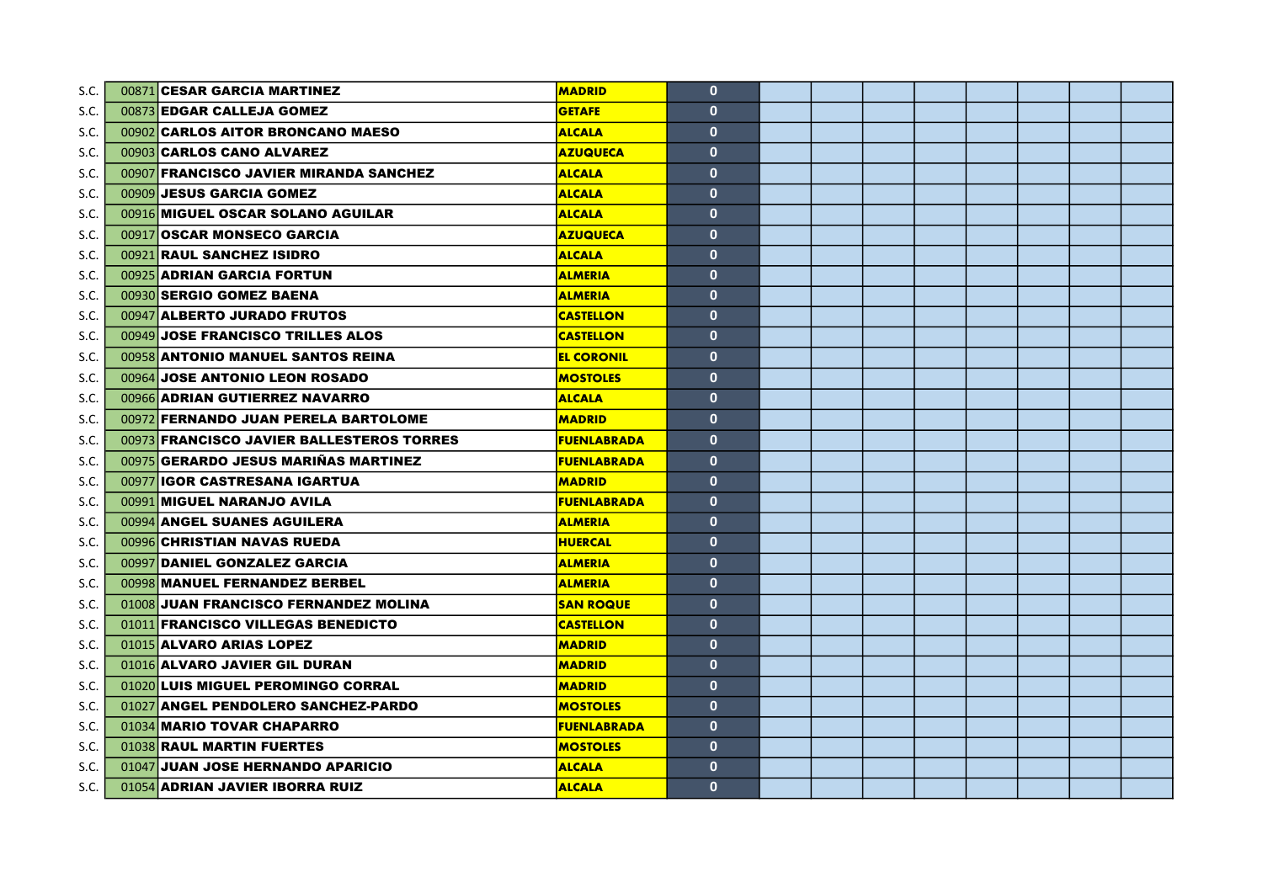| S.C. | 00871 CESAR GARCIA MARTINEZ               | <b>MADRID</b>      | $\mathbf{0}$ |  |  |  |  |
|------|-------------------------------------------|--------------------|--------------|--|--|--|--|
| S.C. | 00873 EDGAR CALLEJA GOMEZ                 | <b>GETAFE</b>      | $\mathbf{0}$ |  |  |  |  |
| S.C. | 00902 CARLOS AITOR BRONCANO MAESO         | <b>ALCALA</b>      | $\mathbf{0}$ |  |  |  |  |
| S.C. | 00903 CARLOS CANO ALVAREZ                 | <b>AZUQUECA</b>    | $\mathbf{0}$ |  |  |  |  |
| S.C. | 00907 FRANCISCO JAVIER MIRANDA SANCHEZ    | <b>ALCALA</b>      | $\mathbf{0}$ |  |  |  |  |
| S.C. | 00909 JESUS GARCIA GOMEZ                  | <b>ALCALA</b>      | $\mathbf{0}$ |  |  |  |  |
| S.C. | 00916 MIGUEL OSCAR SOLANO AGUILAR         | <b>ALCALA</b>      | $\mathbf{0}$ |  |  |  |  |
| S.C. | 00917 OSCAR MONSECO GARCIA                | <b>AZUQUECA</b>    | $\mathbf{0}$ |  |  |  |  |
| S.C. | 00921 RAUL SANCHEZ ISIDRO                 | <b>ALCALA</b>      | $\mathbf{0}$ |  |  |  |  |
| S.C. | 00925 ADRIAN GARCIA FORTUN                | <b>ALMERIA</b>     | $\mathbf{0}$ |  |  |  |  |
| S.C. | 00930 SERGIO GOMEZ BAENA                  | <b>ALMERIA</b>     | $\mathbf{0}$ |  |  |  |  |
| S.C. | 00947 ALBERTO JURADO FRUTOS               | <b>CASTELLON</b>   | $\mathbf{0}$ |  |  |  |  |
| S.C. | 00949 JOSE FRANCISCO TRILLES ALOS         | <b>CASTELLON</b>   | $\mathbf{0}$ |  |  |  |  |
| S.C. | 00958 ANTONIO MANUEL SANTOS REINA         | <b>EL CORONIL</b>  | $\mathbf{0}$ |  |  |  |  |
| S.C. | 00964 JOSE ANTONIO LEON ROSADO            | <b>MOSTOLES</b>    | $\mathbf{0}$ |  |  |  |  |
| S.C. | 00966 ADRIAN GUTIERREZ NAVARRO            | <b>ALCALA</b>      | $\mathbf{0}$ |  |  |  |  |
| S.C. | 00972 FERNANDO JUAN PERELA BARTOLOME      | <b>MADRID</b>      | $\mathbf{0}$ |  |  |  |  |
| S.C. | 00973 FRANCISCO JAVIER BALLESTEROS TORRES | <b>FUENLABRADA</b> | $\mathbf{0}$ |  |  |  |  |
| S.C. | 00975 GERARDO JESUS MARIÑAS MARTINEZ      | <b>FUENLABRADA</b> | $\mathbf{0}$ |  |  |  |  |
| S.C. | 00977 IGOR CASTRESANA IGARTUA             | <b>MADRID</b>      | $\mathbf{0}$ |  |  |  |  |
| S.C. | 00991 MIGUEL NARANJO AVILA                | <b>FUENLABRADA</b> | $\mathbf{0}$ |  |  |  |  |
| S.C. | 00994 ANGEL SUANES AGUILERA               | <b>ALMERIA</b>     | $\mathbf{0}$ |  |  |  |  |
| S.C. | 00996 CHRISTIAN NAVAS RUEDA               | <b>HUERCAL</b>     | $\mathbf{0}$ |  |  |  |  |
| S.C. | 00997 DANIEL GONZALEZ GARCIA              | <b>ALMERIA</b>     | $\mathbf{0}$ |  |  |  |  |
| S.C. | 00998 MANUEL FERNANDEZ BERBEL             | <b>ALMERIA</b>     | $\mathbf{0}$ |  |  |  |  |
| S.C. | 01008 JUAN FRANCISCO FERNANDEZ MOLINA     | <b>SAN ROQUE</b>   | $\mathbf{0}$ |  |  |  |  |
| S.C. | 01011 FRANCISCO VILLEGAS BENEDICTO        | <b>CASTELLON</b>   | $\mathbf{0}$ |  |  |  |  |
| S.C. | 01015 ALVARO ARIAS LOPEZ                  | <b>MADRID</b>      | $\mathbf{0}$ |  |  |  |  |
| S.C. | 01016 ALVARO JAVIER GIL DURAN             | <b>MADRID</b>      | $\mathbf{0}$ |  |  |  |  |
| S.C. | 01020 LUIS MIGUEL PEROMINGO CORRAL        | <b>MADRID</b>      | $\mathbf{0}$ |  |  |  |  |
| S.C. | 01027 ANGEL PENDOLERO SANCHEZ-PARDO       | <b>MOSTOLES</b>    | $\mathbf{0}$ |  |  |  |  |
| S.C. | 01034 MARIO TOVAR CHAPARRO                | <b>FUENLABRADA</b> | $\mathbf{0}$ |  |  |  |  |
| S.C. | 01038 RAUL MARTIN FUERTES                 | <b>MOSTOLES</b>    | $\mathbf{0}$ |  |  |  |  |
| S.C. | 01047 JUAN JOSE HERNANDO APARICIO         | <b>ALCALA</b>      | $\mathbf{0}$ |  |  |  |  |
| S.C. | 01054 ADRIAN JAVIER IBORRA RUIZ           | <b>ALCALA</b>      | $\mathbf{0}$ |  |  |  |  |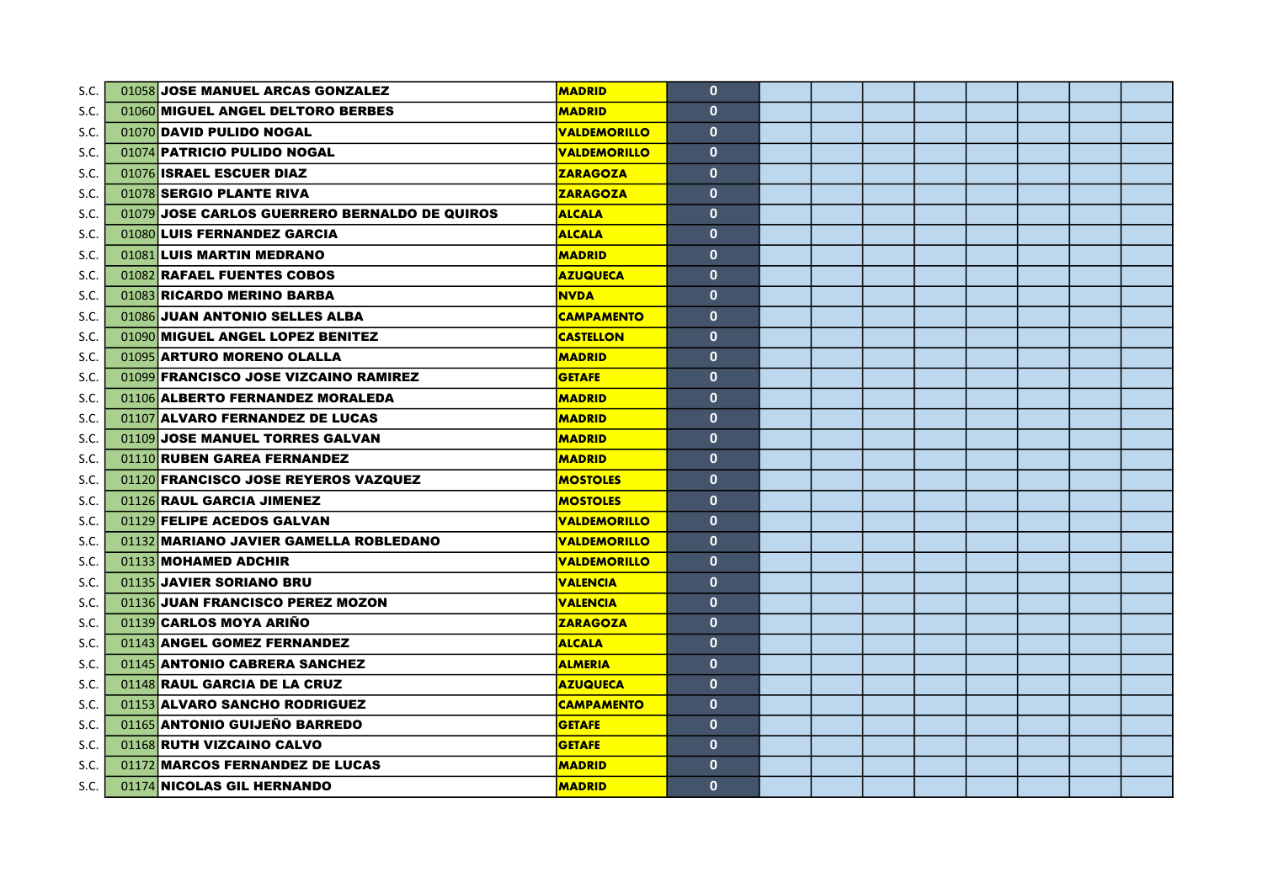| S.C. | 01058 JOSE MANUEL ARCAS GONZALEZ              | <b>MADRID</b>       | $\mathbf{0}$ |  |  |  |  |
|------|-----------------------------------------------|---------------------|--------------|--|--|--|--|
| S.C. | 01060 MIGUEL ANGEL DELTORO BERBES             | <b>MADRID</b>       | $\mathbf{0}$ |  |  |  |  |
| S.C. | 01070 DAVID PULIDO NOGAL                      | <b>VALDEMORILLO</b> | $\mathbf{0}$ |  |  |  |  |
| S.C. | 01074 PATRICIO PULIDO NOGAL                   | <b>VALDEMORILLO</b> | $\mathbf{0}$ |  |  |  |  |
| S.C. | 01076 ISRAEL ESCUER DIAZ                      | <b>ZARAGOZA</b>     | $\mathbf{0}$ |  |  |  |  |
| S.C. | 01078 SERGIO PLANTE RIVA                      | <b>ZARAGOZA</b>     | $\mathbf{0}$ |  |  |  |  |
| S.C. | 01079 JOSE CARLOS GUERRERO BERNALDO DE QUIROS | <b>ALCALA</b>       | $\mathbf{0}$ |  |  |  |  |
| S.C. | 01080 LUIS FERNANDEZ GARCIA                   | <b>ALCALA</b>       | $\mathbf{0}$ |  |  |  |  |
| S.C. | 01081 LUIS MARTIN MEDRANO                     | <b>MADRID</b>       | $\mathbf{0}$ |  |  |  |  |
| S.C. | 01082 RAFAEL FUENTES COBOS                    | <b>AZUQUECA</b>     | $\mathbf{0}$ |  |  |  |  |
| S.C. | 01083 RICARDO MERINO BARBA                    | <b>NVDA</b>         | $\mathbf{0}$ |  |  |  |  |
| S.C. | 01086 JUAN ANTONIO SELLES ALBA                | <b>CAMPAMENTO</b>   | $\mathbf{0}$ |  |  |  |  |
| S.C. | 01090 MIGUEL ANGEL LOPEZ BENITEZ              | <b>CASTELLON</b>    | $\mathbf{0}$ |  |  |  |  |
| S.C. | 01095 ARTURO MORENO OLALLA                    | <b>MADRID</b>       | $\mathbf{0}$ |  |  |  |  |
| S.C. | 01099 FRANCISCO JOSE VIZCAINO RAMIREZ         | <b>GETAFE</b>       | $\mathbf{0}$ |  |  |  |  |
| S.C. | 01106 ALBERTO FERNANDEZ MORALEDA              | <b>MADRID</b>       | $\mathbf{0}$ |  |  |  |  |
| S.C. | 01107 ALVARO FERNANDEZ DE LUCAS               | <b>MADRID</b>       | $\mathbf{0}$ |  |  |  |  |
| S.C. | 01109 JOSE MANUEL TORRES GALVAN               | <b>MADRID</b>       | $\mathbf{0}$ |  |  |  |  |
| S.C. | 01110 RUBEN GAREA FERNANDEZ                   | <b>MADRID</b>       | $\mathbf{0}$ |  |  |  |  |
| S.C. | 01120 FRANCISCO JOSE REYEROS VAZQUEZ          | <b>MOSTOLES</b>     | $\mathbf{0}$ |  |  |  |  |
| S.C. | 01126 RAUL GARCIA JIMENEZ                     | <b>MOSTOLES</b>     | $\mathbf{0}$ |  |  |  |  |
| S.C. | 01129 FELIPE ACEDOS GALVAN                    | <b>VALDEMORILLO</b> | $\mathbf{0}$ |  |  |  |  |
| S.C. | 01132 MARIANO JAVIER GAMELLA ROBLEDANO        | <b>VALDEMORILLO</b> | $\mathbf{0}$ |  |  |  |  |
| S.C. | 01133 MOHAMED ADCHIR                          | <b>VALDEMORILLO</b> | $\mathbf{0}$ |  |  |  |  |
| S.C. | 01135 JAVIER SORIANO BRU                      | <b>VALENCIA</b>     | $\mathbf{0}$ |  |  |  |  |
| S.C. | 01136 JUAN FRANCISCO PEREZ MOZON              | <b>VALENCIA</b>     | $\mathbf{0}$ |  |  |  |  |
| S.C. | 01139 CARLOS MOYA ARIÑO                       | <b>ZARAGOZA</b>     | $\mathbf{0}$ |  |  |  |  |
| S.C. | 01143 ANGEL GOMEZ FERNANDEZ                   | <b>ALCALA</b>       | $\mathbf{0}$ |  |  |  |  |
| S.C. | 01145 ANTONIO CABRERA SANCHEZ                 | <b>ALMERIA</b>      | $\mathbf{0}$ |  |  |  |  |
| S.C. | 01148 RAUL GARCIA DE LA CRUZ                  | <b>AZUQUECA</b>     | $\mathbf{0}$ |  |  |  |  |
| S.C. | 01153 ALVARO SANCHO RODRIGUEZ                 | <b>CAMPAMENTO</b>   | $\mathbf{0}$ |  |  |  |  |
| S.C. | 01165 ANTONIO GUIJEÑO BARREDO                 | <b>GETAFE</b>       | $\mathbf{0}$ |  |  |  |  |
| S.C. | 01168 RUTH VIZCAINO CALVO                     | <b>GETAFE</b>       | $\mathbf{0}$ |  |  |  |  |
| S.C. | 01172 MARCOS FERNANDEZ DE LUCAS               | <b>MADRID</b>       | $\mathbf{0}$ |  |  |  |  |
| S.C. | 01174 NICOLAS GIL HERNANDO                    | <b>MADRID</b>       | $\mathbf{0}$ |  |  |  |  |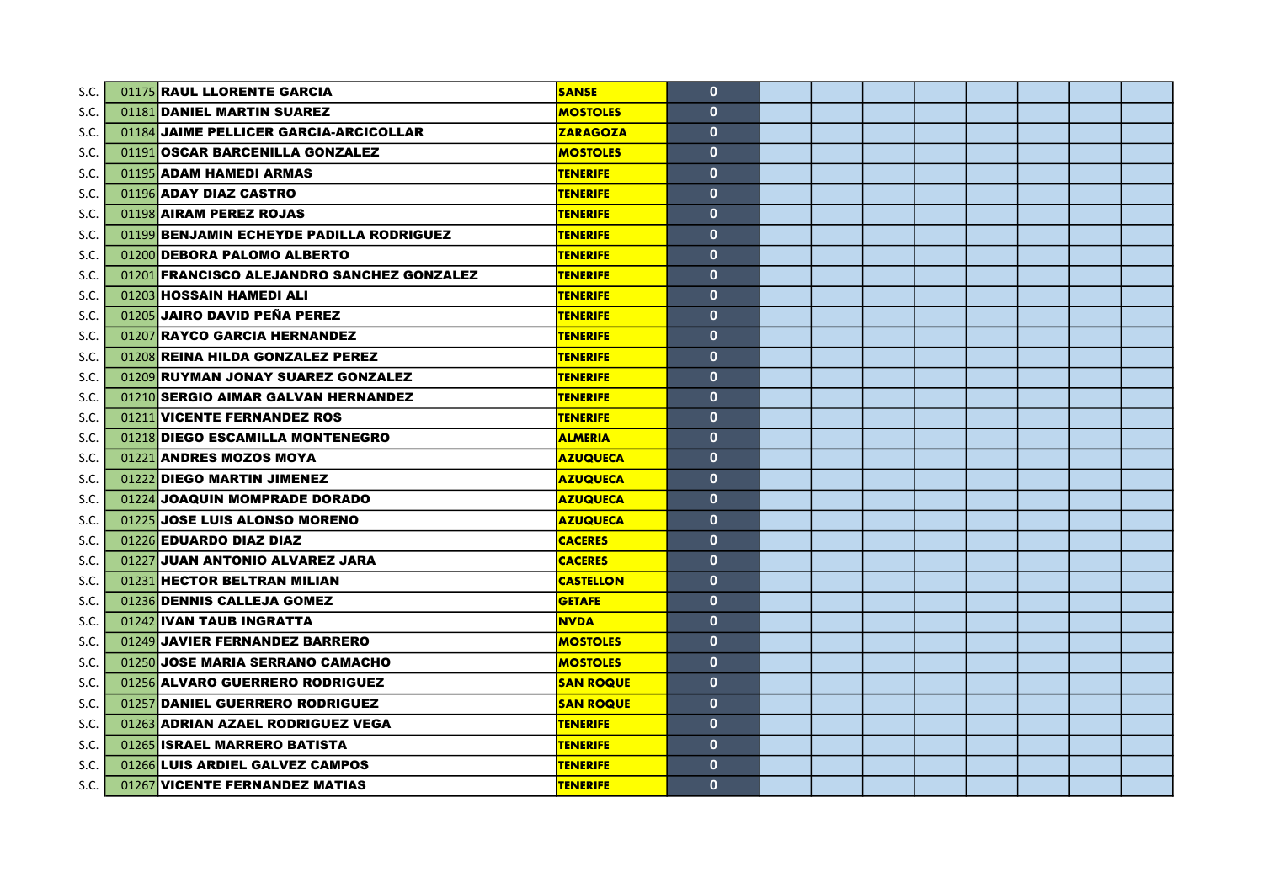| S.C. | 01175 RAUL LLORENTE GARCIA                 | <b>SANSE</b>     | $\mathbf{0}$ |  |  |  |  |
|------|--------------------------------------------|------------------|--------------|--|--|--|--|
| S.C. | 01181 DANIEL MARTIN SUAREZ                 | <b>MOSTOLES</b>  | $\mathbf{0}$ |  |  |  |  |
| S.C. | 01184 JAIME PELLICER GARCIA-ARCICOLLAR     | <b>ZARAGOZA</b>  | $\mathbf{0}$ |  |  |  |  |
| S.C. | 01191 OSCAR BARCENILLA GONZALEZ            | <b>MOSTOLES</b>  | $\mathbf{0}$ |  |  |  |  |
| S.C. | 01195 ADAM HAMEDI ARMAS                    | <b>TENERIFE</b>  | $\mathbf{0}$ |  |  |  |  |
| S.C. | 01196 ADAY DIAZ CASTRO                     | <b>TENERIFE</b>  | $\mathbf{0}$ |  |  |  |  |
| S.C. | 01198 AIRAM PEREZ ROJAS                    | <b>TENERIFE</b>  | $\mathbf{0}$ |  |  |  |  |
| S.C. | 01199 BENJAMIN ECHEYDE PADILLA RODRIGUEZ   | <b>TENERIFE</b>  | $\mathbf{0}$ |  |  |  |  |
| S.C. | 01200 DEBORA PALOMO ALBERTO                | <b>TENERIFE</b>  | $\mathbf{0}$ |  |  |  |  |
| S.C. | 01201 FRANCISCO ALEJANDRO SANCHEZ GONZALEZ | <b>TENERIFE</b>  | $\mathbf{0}$ |  |  |  |  |
| S.C. | 01203 HOSSAIN HAMEDI ALI                   | <b>TENERIFE</b>  | $\mathbf{0}$ |  |  |  |  |
| S.C. | 01205 JAIRO DAVID PEÑA PEREZ               | <b>TENERIFE</b>  | $\mathbf{0}$ |  |  |  |  |
| S.C. | 01207 RAYCO GARCIA HERNANDEZ               | <b>TENERIFE</b>  | $\mathbf{0}$ |  |  |  |  |
| S.C. | 01208 REINA HILDA GONZALEZ PEREZ           | <b>TENERIFE</b>  | $\mathbf{0}$ |  |  |  |  |
| S.C. | 01209 RUYMAN JONAY SUAREZ GONZALEZ         | <b>TENERIFE</b>  | $\mathbf{0}$ |  |  |  |  |
| S.C. | 01210 SERGIO AIMAR GALVAN HERNANDEZ        | <b>TENERIFE</b>  | $\mathbf{0}$ |  |  |  |  |
| S.C. | 01211 VICENTE FERNANDEZ ROS                | <b>TENERIFE</b>  | $\mathbf{0}$ |  |  |  |  |
| S.C. | 01218 DIEGO ESCAMILLA MONTENEGRO           | <b>ALMERIA</b>   | $\mathbf{0}$ |  |  |  |  |
| S.C. | 01221 ANDRES MOZOS MOYA                    | <b>AZUQUECA</b>  | $\mathbf{0}$ |  |  |  |  |
| S.C. | 01222 DIEGO MARTIN JIMENEZ                 | <b>AZUQUECA</b>  | $\mathbf{0}$ |  |  |  |  |
| S.C. | 01224 JOAQUIN MOMPRADE DORADO              | <b>AZUQUECA</b>  | $\mathbf{0}$ |  |  |  |  |
| S.C. | 01225 JOSE LUIS ALONSO MORENO              | <b>AZUQUECA</b>  | $\mathbf{0}$ |  |  |  |  |
| S.C. | 01226 EDUARDO DIAZ DIAZ                    | <b>CACERES</b>   | $\mathbf{0}$ |  |  |  |  |
| S.C. | 01227 JUAN ANTONIO ALVAREZ JARA            | <b>CACERES</b>   | $\mathbf{0}$ |  |  |  |  |
| S.C. | 01231 HECTOR BELTRAN MILIAN                | <b>CASTELLON</b> | $\mathbf{0}$ |  |  |  |  |
| S.C. | 01236 DENNIS CALLEJA GOMEZ                 | <b>GETAFE</b>    | $\mathbf{0}$ |  |  |  |  |
| S.C. | 01242 IVAN TAUB INGRATTA                   | <b>NVDA</b>      | $\mathbf{0}$ |  |  |  |  |
| S.C. | 01249 JAVIER FERNANDEZ BARRERO             | <b>MOSTOLES</b>  | $\mathbf{0}$ |  |  |  |  |
| S.C. | 01250 JOSE MARIA SERRANO CAMACHO           | <b>MOSTOLES</b>  | $\mathbf{0}$ |  |  |  |  |
| S.C. | 01256 ALVARO GUERRERO RODRIGUEZ            | <b>SAN ROQUE</b> | $\mathbf{0}$ |  |  |  |  |
| S.C. | 01257 DANIEL GUERRERO RODRIGUEZ            | <b>SAN ROQUE</b> | $\mathbf{0}$ |  |  |  |  |
| S.C. | 01263 ADRIAN AZAEL RODRIGUEZ VEGA          | <b>TENERIFE</b>  | $\mathbf{0}$ |  |  |  |  |
| S.C. | 01265 ISRAEL MARRERO BATISTA               | <b>TENERIFE</b>  | $\mathbf{0}$ |  |  |  |  |
| S.C. | 01266 LUIS ARDIEL GALVEZ CAMPOS            | <b>TENERIFE</b>  | $\mathbf{0}$ |  |  |  |  |
| S.C. | 01267 VICENTE FERNANDEZ MATIAS             | <b>TENERIFE</b>  | $\mathbf{0}$ |  |  |  |  |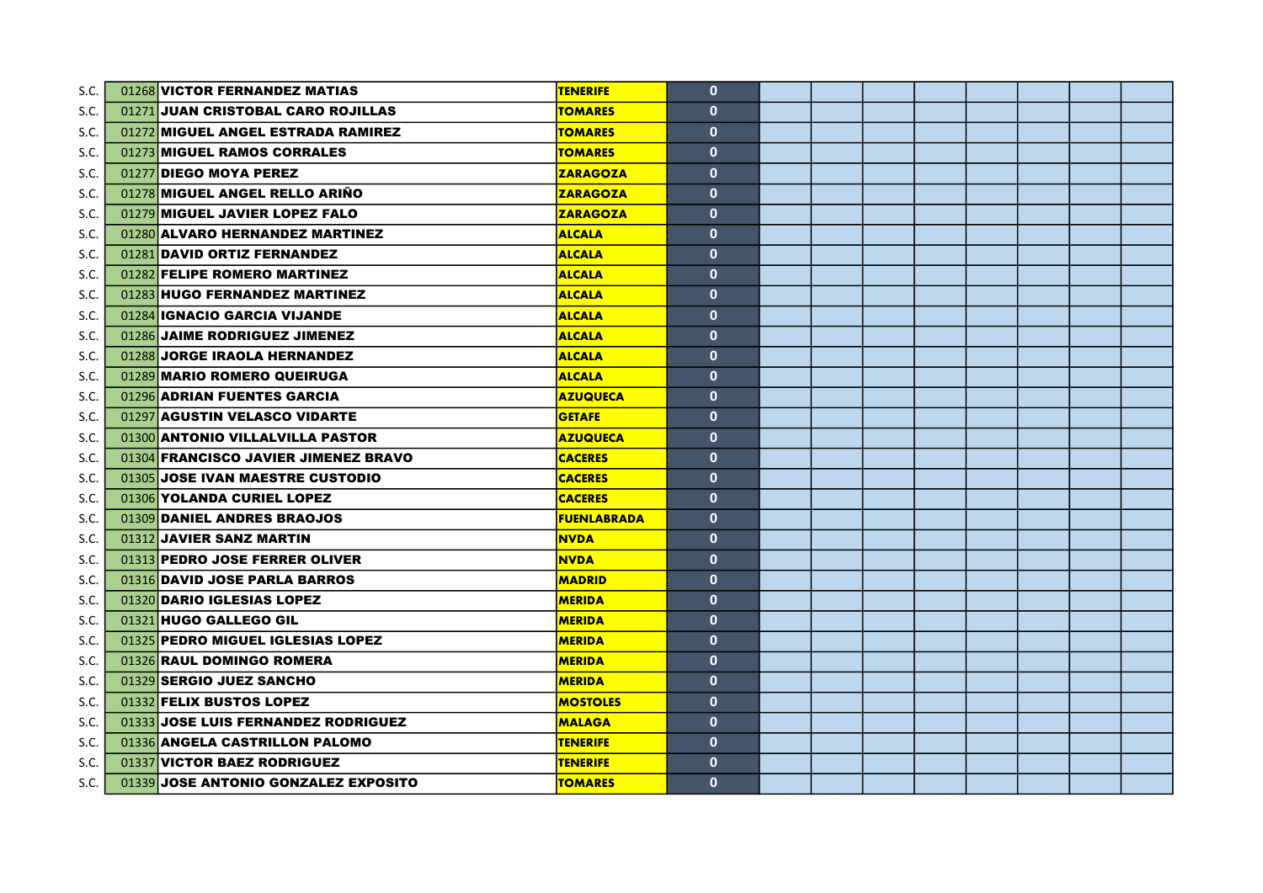| S.C. | 01268 VICTOR FERNANDEZ MATIAS        | <b>TENERIFE</b>    | $\mathbf{0}$ |  |  |  |  |
|------|--------------------------------------|--------------------|--------------|--|--|--|--|
| S.C. | 01271 JUAN CRISTOBAL CARO ROJILLAS   | <b>TOMARES</b>     | $\mathbf{0}$ |  |  |  |  |
| S.C. | 01272 MIGUEL ANGEL ESTRADA RAMIREZ   | <b>TOMARES</b>     | $\mathbf{0}$ |  |  |  |  |
| S.C. | 01273 MIGUEL RAMOS CORRALES          | <b>TOMARES</b>     | $\mathbf{0}$ |  |  |  |  |
| S.C. | 01277 DIEGO MOYA PEREZ               | <b>ZARAGOZA</b>    | $\mathbf{0}$ |  |  |  |  |
| S.C. | 01278 MIGUEL ANGEL RELLO ARIÑO       | <b>ZARAGOZA</b>    | $\mathbf{0}$ |  |  |  |  |
| S.C. | 01279 MIGUEL JAVIER LOPEZ FALO       | <b>ZARAGOZA</b>    | $\mathbf{0}$ |  |  |  |  |
| S.C. | 01280 ALVARO HERNANDEZ MARTINEZ      | <b>ALCALA</b>      | $\mathbf{0}$ |  |  |  |  |
| S.C. | 01281 DAVID ORTIZ FERNANDEZ          | <b>ALCALA</b>      | $\mathbf{0}$ |  |  |  |  |
| S.C. | 01282 FELIPE ROMERO MARTINEZ         | <b>ALCALA</b>      | $\mathbf{0}$ |  |  |  |  |
| S.C. | 01283 HUGO FERNANDEZ MARTINEZ        | <b>ALCALA</b>      | $\mathbf{0}$ |  |  |  |  |
| S.C. | 01284 IGNACIO GARCIA VIJANDE         | <b>ALCALA</b>      | $\mathbf{0}$ |  |  |  |  |
| S.C. | 01286 JAIME RODRIGUEZ JIMENEZ        | <b>ALCALA</b>      | $\mathbf{0}$ |  |  |  |  |
| S.C. | 01288 JORGE IRAOLA HERNANDEZ         | <b>ALCALA</b>      | $\mathbf{0}$ |  |  |  |  |
| S.C. | 01289 MARIO ROMERO QUEIRUGA          | <b>ALCALA</b>      | $\mathbf{0}$ |  |  |  |  |
| S.C. | 01296 ADRIAN FUENTES GARCIA          | <b>AZUQUECA</b>    | $\mathbf{0}$ |  |  |  |  |
| S.C. | 01297 AGUSTIN VELASCO VIDARTE        | <b>GETAFE</b>      | $\mathbf{0}$ |  |  |  |  |
| S.C. | 01300 ANTONIO VILLALVILLA PASTOR     | <b>AZUQUECA</b>    | $\mathbf{0}$ |  |  |  |  |
| S.C. | 01304 FRANCISCO JAVIER JIMENEZ BRAVO | <b>CACERES</b>     | $\mathbf{0}$ |  |  |  |  |
| S.C. | 01305 JOSE IVAN MAESTRE CUSTODIO     | <b>CACERES</b>     | $\mathbf{0}$ |  |  |  |  |
| S.C. | 01306 YOLANDA CURIEL LOPEZ           | <b>CACERES</b>     | $\mathbf{0}$ |  |  |  |  |
| S.C. | 01309 DANIEL ANDRES BRAOJOS          | <b>FUENLABRADA</b> | $\mathbf{0}$ |  |  |  |  |
| S.C. | 01312 JAVIER SANZ MARTIN             | <b>NVDA</b>        | $\mathbf{0}$ |  |  |  |  |
| S.C. | 01313 PEDRO JOSE FERRER OLIVER       | <b>NVDA</b>        | $\mathbf{0}$ |  |  |  |  |
| S.C. | 01316 DAVID JOSE PARLA BARROS        | <b>MADRID</b>      | $\mathbf{0}$ |  |  |  |  |
| S.C. | 01320 DARIO IGLESIAS LOPEZ           | <b>MERIDA</b>      | $\mathbf{0}$ |  |  |  |  |
| S.C. | 01321 HUGO GALLEGO GIL               | <b>MERIDA</b>      | $\mathbf{0}$ |  |  |  |  |
| S.C. | 01325 PEDRO MIGUEL IGLESIAS LOPEZ    | <b>MERIDA</b>      | $\mathbf{0}$ |  |  |  |  |
| S.C. | 01326 RAUL DOMINGO ROMERA            | <b>MERIDA</b>      | $\mathbf{0}$ |  |  |  |  |
| S.C. | 01329 SERGIO JUEZ SANCHO             | <b>MERIDA</b>      | $\mathbf{0}$ |  |  |  |  |
| S.C. | 01332 FELIX BUSTOS LOPEZ             | <b>MOSTOLES</b>    | $\mathbf{0}$ |  |  |  |  |
| S.C. | 01333 JOSE LUIS FERNANDEZ RODRIGUEZ  | <b>MALAGA</b>      | $\mathbf{0}$ |  |  |  |  |
| S.C. | 01336 ANGELA CASTRILLON PALOMO       | <b>TENERIFE</b>    | $\mathbf{0}$ |  |  |  |  |
| S.C. | 01337 VICTOR BAEZ RODRIGUEZ          | <b>TENERIFE</b>    | $\mathbf{0}$ |  |  |  |  |
| S.C. | 01339 JOSE ANTONIO GONZALEZ EXPOSITO | <b>TOMARES</b>     | $\mathbf{0}$ |  |  |  |  |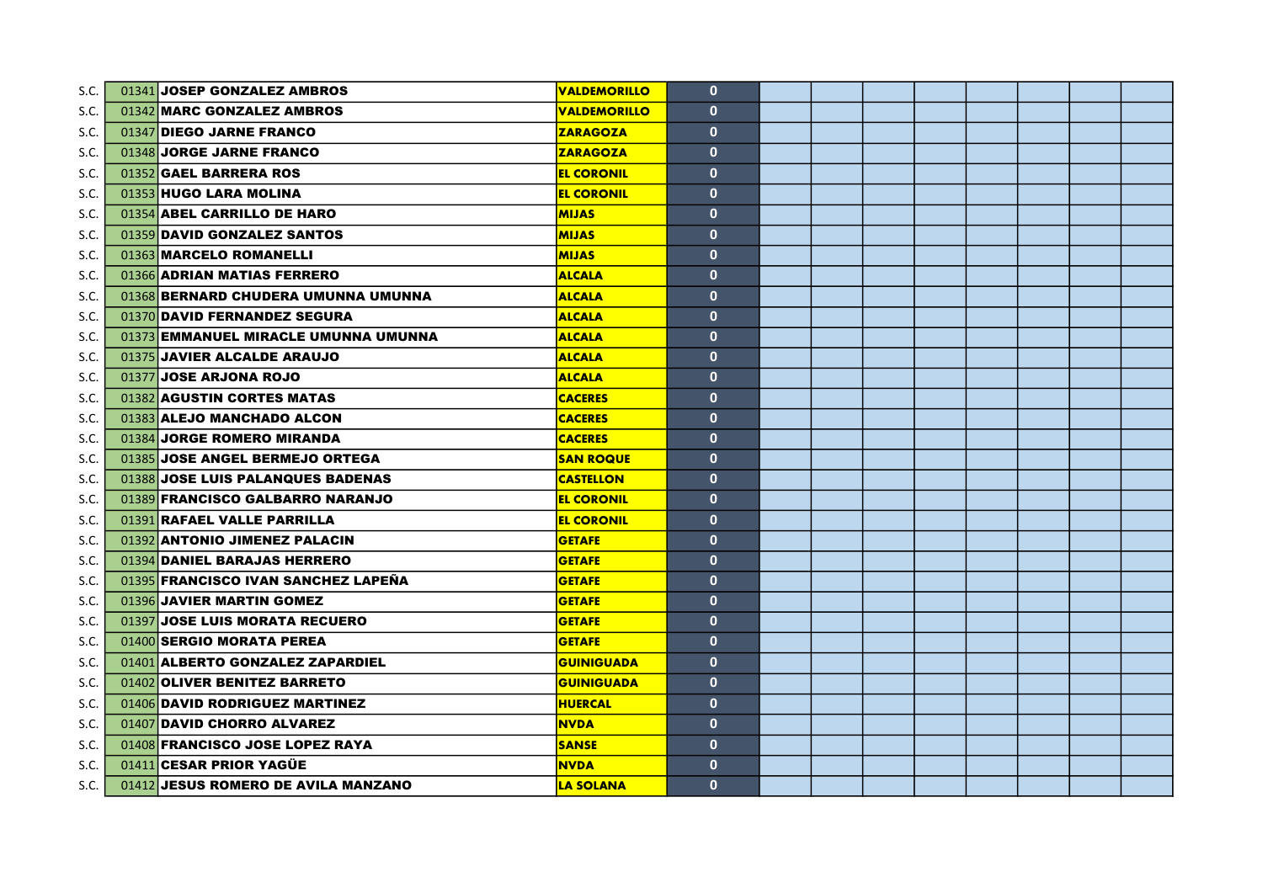| S.C. | 01341 JOSEP GONZALEZ AMBROS          | <b>VALDEMORILLO</b> | $\mathbf{0}$ |  |  |  |  |
|------|--------------------------------------|---------------------|--------------|--|--|--|--|
| S.C. | 01342 MARC GONZALEZ AMBROS           | <b>VALDEMORILLO</b> | $\mathbf{0}$ |  |  |  |  |
| S.C. | 01347 DIEGO JARNE FRANCO             | <b>ZARAGOZA</b>     | $\mathbf{0}$ |  |  |  |  |
| S.C. | 01348 JORGE JARNE FRANCO             | <b>ZARAGOZA</b>     | $\mathbf{0}$ |  |  |  |  |
| S.C. | 01352 GAEL BARRERA ROS               | <b>EL CORONIL</b>   | $\mathbf{0}$ |  |  |  |  |
| S.C. | 01353 HUGO LARA MOLINA               | <b>EL CORONIL</b>   | $\mathbf{0}$ |  |  |  |  |
| S.C. | 01354 ABEL CARRILLO DE HARO          | <b>MIJAS</b>        | $\mathbf{0}$ |  |  |  |  |
| S.C. | 01359 DAVID GONZALEZ SANTOS          | <b>MIJAS</b>        | $\mathbf{0}$ |  |  |  |  |
| S.C. | 01363 MARCELO ROMANELLI              | <b>MIJAS</b>        | $\mathbf{0}$ |  |  |  |  |
| S.C. | 01366 ADRIAN MATIAS FERRERO          | <b>ALCALA</b>       | $\mathbf{0}$ |  |  |  |  |
| S.C. | 01368 BERNARD CHUDERA UMUNNA UMUNNA  | <b>ALCALA</b>       | $\mathbf{0}$ |  |  |  |  |
| S.C. | 01370 DAVID FERNANDEZ SEGURA         | <b>ALCALA</b>       | $\mathbf{0}$ |  |  |  |  |
| S.C. | 01373 EMMANUEL MIRACLE UMUNNA UMUNNA | <b>ALCALA</b>       | $\mathbf{0}$ |  |  |  |  |
| S.C. | 01375 JAVIER ALCALDE ARAUJO          | <b>ALCALA</b>       | $\mathbf{0}$ |  |  |  |  |
| S.C. | 01377 JOSE ARJONA ROJO               | <b>ALCALA</b>       | $\mathbf{0}$ |  |  |  |  |
| S.C. | 01382 AGUSTIN CORTES MATAS           | <b>CACERES</b>      | $\mathbf{0}$ |  |  |  |  |
| S.C. | 01383 ALEJO MANCHADO ALCON           | <b>CACERES</b>      | $\mathbf{0}$ |  |  |  |  |
| S.C. | 01384 JORGE ROMERO MIRANDA           | <b>CACERES</b>      | $\mathbf{0}$ |  |  |  |  |
| S.C. | 01385 JOSE ANGEL BERMEJO ORTEGA      | <b>SAN ROQUE</b>    | $\mathbf{0}$ |  |  |  |  |
| S.C. | 01388 JOSE LUIS PALANQUES BADENAS    | <b>CASTELLON</b>    | $\mathbf{0}$ |  |  |  |  |
| S.C. | 01389 FRANCISCO GALBARRO NARANJO     | <b>EL CORONIL</b>   | $\mathbf{0}$ |  |  |  |  |
| S.C. | 01391 RAFAEL VALLE PARRILLA          | <b>EL CORONIL</b>   | $\mathbf{0}$ |  |  |  |  |
| S.C. | 01392 ANTONIO JIMENEZ PALACIN        | <b>GETAFE</b>       | $\mathbf{0}$ |  |  |  |  |
| S.C. | 01394 DANIEL BARAJAS HERRERO         | <b>GETAFE</b>       | $\mathbf{0}$ |  |  |  |  |
| S.C. | 01395 FRANCISCO IVAN SANCHEZ LAPEÑA  | <b>GETAFE</b>       | $\mathbf{0}$ |  |  |  |  |
| S.C. | 01396 JAVIER MARTIN GOMEZ            | <b>GETAFE</b>       | $\mathbf{0}$ |  |  |  |  |
| S.C. | 01397 JOSE LUIS MORATA RECUERO       | <b>GETAFE</b>       | $\mathbf{0}$ |  |  |  |  |
| S.C. | 01400 SERGIO MORATA PEREA            | <b>GETAFE</b>       | $\mathbf{0}$ |  |  |  |  |
| S.C. | 01401 ALBERTO GONZALEZ ZAPARDIEL     | <b>GUINIGUADA</b>   | $\mathbf{0}$ |  |  |  |  |
| S.C. | 01402 OLIVER BENITEZ BARRETO         | <b>GUINIGUADA</b>   | $\mathbf{0}$ |  |  |  |  |
| S.C. | 01406 DAVID RODRIGUEZ MARTINEZ       | <b>HUERCAL</b>      | $\mathbf{0}$ |  |  |  |  |
| S.C. | 01407 DAVID CHORRO ALVAREZ           | <b>NVDA</b>         | $\mathbf{0}$ |  |  |  |  |
| S.C. | 01408 FRANCISCO JOSE LOPEZ RAYA      | <b>SANSE</b>        | $\mathbf{0}$ |  |  |  |  |
| S.C. | 01411 CESAR PRIOR YAGÜE              | <b>NVDA</b>         | $\mathbf{0}$ |  |  |  |  |
| S.C. | 01412 JESUS ROMERO DE AVILA MANZANO  | <b>LA SOLANA</b>    | $\mathbf{0}$ |  |  |  |  |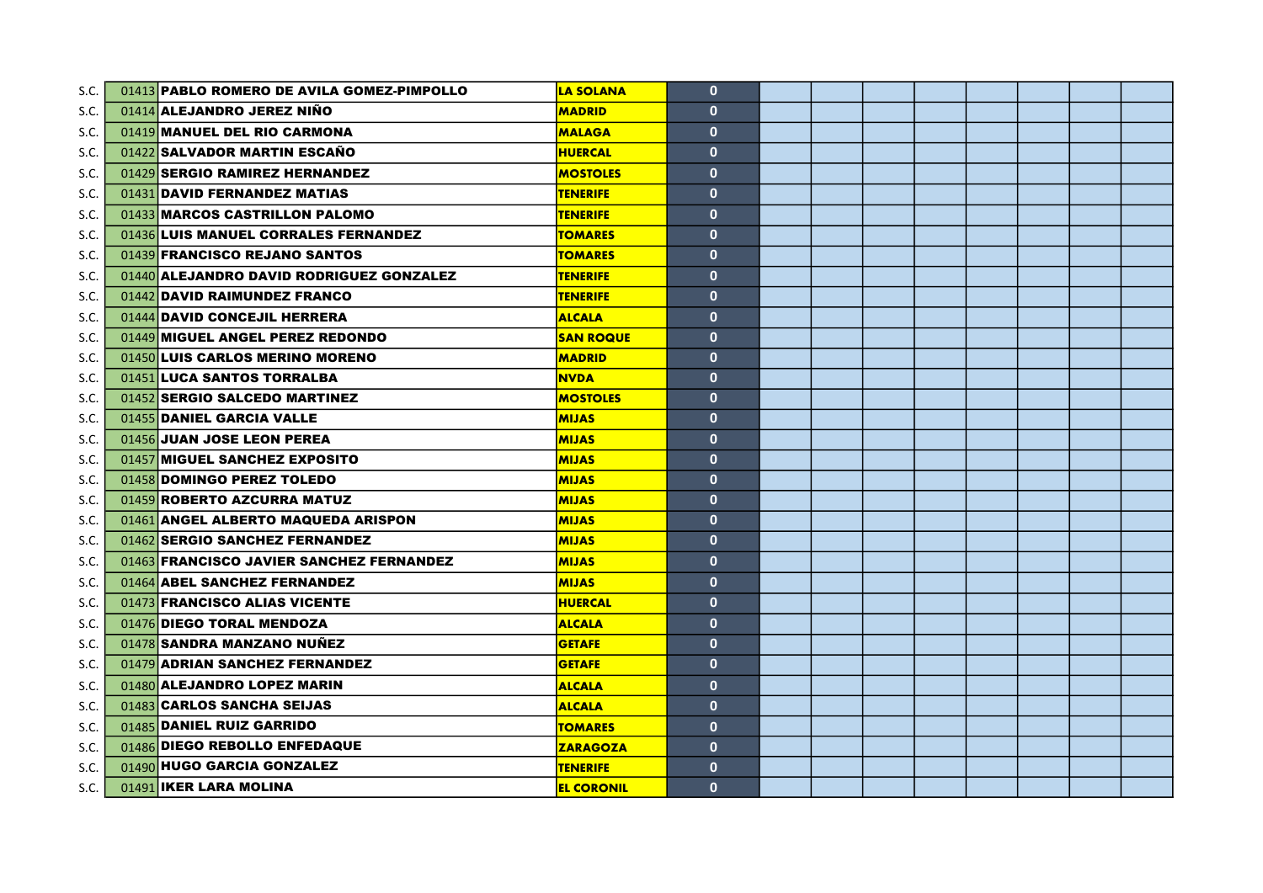| S.C. | 01413 PABLO ROMERO DE AVILA GOMEZ-PIMPOLLO | <b>LA SOLANA</b>  | $\mathbf{0}$ |  |  |  |  |
|------|--------------------------------------------|-------------------|--------------|--|--|--|--|
| S.C. | 01414 ALEJANDRO JEREZ NIÑO                 | <b>MADRID</b>     | $\mathbf{0}$ |  |  |  |  |
| S.C. | 01419 MANUEL DEL RIO CARMONA               | <b>MALAGA</b>     | $\mathbf{0}$ |  |  |  |  |
| S.C. | 01422 SALVADOR MARTIN ESCAÑO               | <b>HUERCAL</b>    | $\mathbf{0}$ |  |  |  |  |
| S.C. | 01429 SERGIO RAMIREZ HERNANDEZ             | <b>MOSTOLES</b>   | $\mathbf{0}$ |  |  |  |  |
| S.C. | 01431 DAVID FERNANDEZ MATIAS               | <b>TENERIFE</b>   | $\mathbf{0}$ |  |  |  |  |
| S.C. | 01433 MARCOS CASTRILLON PALOMO             | <b>TENERIFE</b>   | $\mathbf{0}$ |  |  |  |  |
| S.C. | 01436 LUIS MANUEL CORRALES FERNANDEZ       | <b>TOMARES</b>    | $\mathbf{0}$ |  |  |  |  |
| S.C. | 01439 FRANCISCO REJANO SANTOS              | <b>TOMARES</b>    | $\mathbf{0}$ |  |  |  |  |
| S.C. | 01440 ALEJANDRO DAVID RODRIGUEZ GONZALEZ   | <b>TENERIFE</b>   | $\mathbf{0}$ |  |  |  |  |
| S.C. | 01442 DAVID RAIMUNDEZ FRANCO               | <b>TENERIFE</b>   | $\mathbf{0}$ |  |  |  |  |
| S.C. | 01444 DAVID CONCEJIL HERRERA               | <b>ALCALA</b>     | $\mathbf{0}$ |  |  |  |  |
| S.C. | 01449 MIGUEL ANGEL PEREZ REDONDO           | <b>SAN ROQUE</b>  | $\mathbf{0}$ |  |  |  |  |
| S.C. | 01450 LUIS CARLOS MERINO MORENO            | <b>MADRID</b>     | $\mathbf{0}$ |  |  |  |  |
| S.C. | 01451 LUCA SANTOS TORRALBA                 | <b>NVDA</b>       | $\mathbf{0}$ |  |  |  |  |
| S.C. | 01452 SERGIO SALCEDO MARTINEZ              | <b>MOSTOLES</b>   | $\mathbf{0}$ |  |  |  |  |
| S.C. | 01455 DANIEL GARCIA VALLE                  | <b>MIJAS</b>      | $\mathbf{0}$ |  |  |  |  |
| S.C. | 01456 JUAN JOSE LEON PEREA                 | <b>MIJAS</b>      | $\mathbf{0}$ |  |  |  |  |
| S.C. | 01457 MIGUEL SANCHEZ EXPOSITO              | <b>MIJAS</b>      | $\mathbf{0}$ |  |  |  |  |
| S.C. | 01458 DOMINGO PEREZ TOLEDO                 | <b>MIJAS</b>      | $\mathbf{0}$ |  |  |  |  |
| S.C. | 01459 ROBERTO AZCURRA MATUZ                | <b>MIJAS</b>      | $\mathbf{0}$ |  |  |  |  |
| S.C. | 01461 ANGEL ALBERTO MAQUEDA ARISPON        | <b>MIJAS</b>      | $\mathbf{0}$ |  |  |  |  |
| S.C. | 01462 SERGIO SANCHEZ FERNANDEZ             | <b>MIJAS</b>      | $\mathbf{0}$ |  |  |  |  |
| S.C. | 01463 FRANCISCO JAVIER SANCHEZ FERNANDEZ   | <b>MIJAS</b>      | $\mathbf{0}$ |  |  |  |  |
| S.C. | 01464 ABEL SANCHEZ FERNANDEZ               | <b>MIJAS</b>      | $\mathbf{0}$ |  |  |  |  |
| S.C. | 01473 FRANCISCO ALIAS VICENTE              | <b>HUERCAL</b>    | $\mathbf{0}$ |  |  |  |  |
| S.C. | 01476 DIEGO TORAL MENDOZA                  | <b>ALCALA</b>     | $\mathbf{0}$ |  |  |  |  |
| S.C. | 01478 SANDRA MANZANO NUÑEZ                 | <b>GETAFE</b>     | $\mathbf{0}$ |  |  |  |  |
| S.C. | 01479 ADRIAN SANCHEZ FERNANDEZ             | <b>GETAFE</b>     | $\mathbf{0}$ |  |  |  |  |
| S.C. | 01480 ALEJANDRO LOPEZ MARIN                | <b>ALCALA</b>     | $\mathbf{0}$ |  |  |  |  |
| S.C. | 01483 CARLOS SANCHA SEIJAS                 | <b>ALCALA</b>     | $\mathbf{0}$ |  |  |  |  |
| S.C. | 01485 DANIEL RUIZ GARRIDO                  | <b>TOMARES</b>    | $\mathbf{0}$ |  |  |  |  |
| S.C. | 01486 DIEGO REBOLLO ENFEDAQUE              | <b>ZARAGOZA</b>   | $\mathbf{0}$ |  |  |  |  |
| S.C. | 01490 HUGO GARCIA GONZALEZ                 | <b>TENERIFE</b>   | $\mathbf{0}$ |  |  |  |  |
| S.C. | 01491 IKER LARA MOLINA                     | <b>EL CORONIL</b> | $\mathbf{0}$ |  |  |  |  |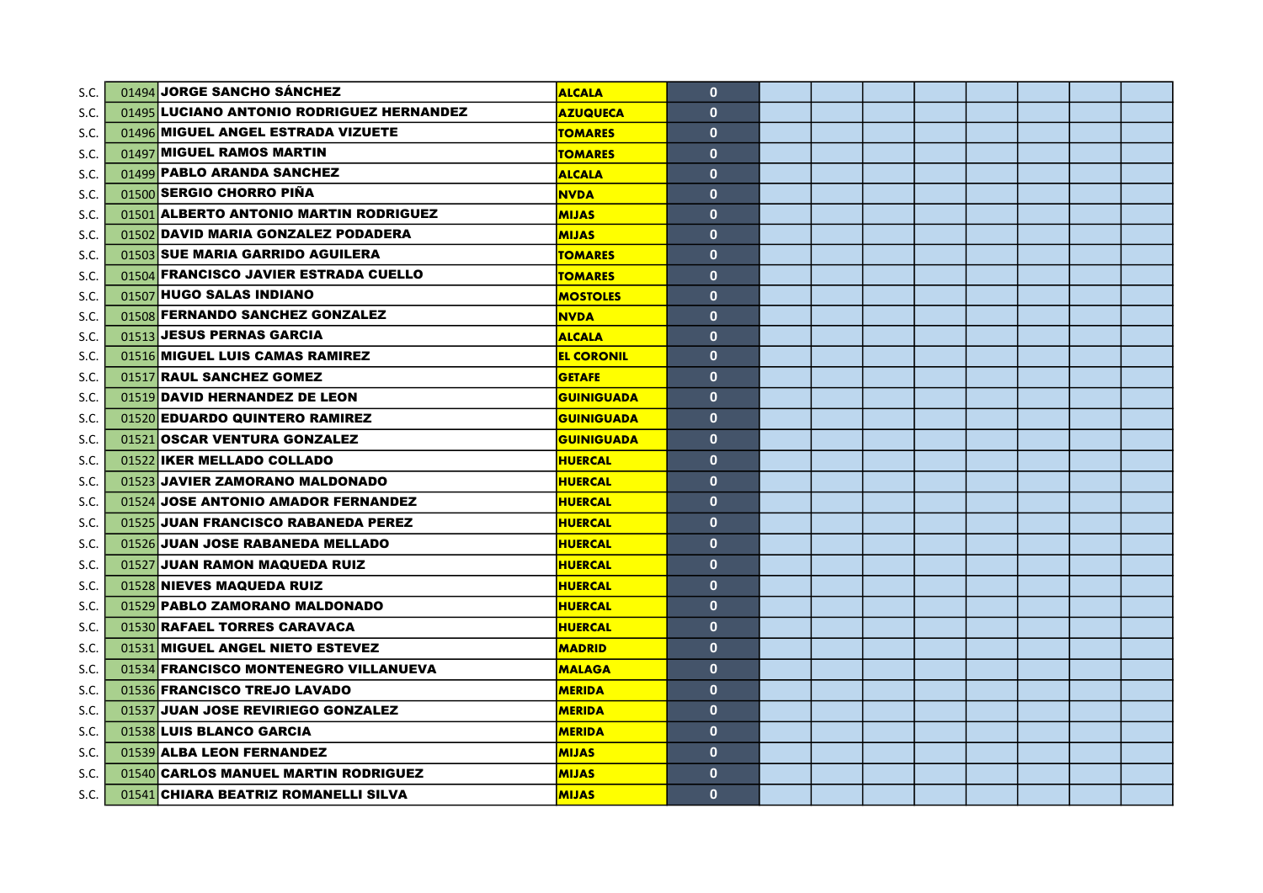| S.C. | 01494 JORGE SANCHO SÁNCHEZ                | <b>ALCALA</b>     | $\mathbf{0}$ |  |  |  |  |
|------|-------------------------------------------|-------------------|--------------|--|--|--|--|
| S.C. | 01495 LUCIANO ANTONIO RODRIGUEZ HERNANDEZ | <b>AZUQUECA</b>   | $\mathbf{0}$ |  |  |  |  |
| S.C. | 01496 MIGUEL ANGEL ESTRADA VIZUETE        | <b>TOMARES</b>    | $\mathbf{0}$ |  |  |  |  |
| S.C. | 01497 MIGUEL RAMOS MARTIN                 | <b>TOMARES</b>    | $\mathbf{0}$ |  |  |  |  |
| S.C. | 01499 PABLO ARANDA SANCHEZ                | <b>ALCALA</b>     | $\mathbf{0}$ |  |  |  |  |
| S.C. | 01500 SERGIO CHORRO PIÑA                  | <b>NVDA</b>       | $\mathbf{0}$ |  |  |  |  |
| S.C. | 01501 ALBERTO ANTONIO MARTIN RODRIGUEZ    | <b>MIJAS</b>      | $\mathbf{0}$ |  |  |  |  |
| S.C. | 01502 DAVID MARIA GONZALEZ PODADERA       | <b>MIJAS</b>      | $\mathbf{0}$ |  |  |  |  |
| S.C. | 01503 SUE MARIA GARRIDO AGUILERA          | <b>TOMARES</b>    | $\mathbf{0}$ |  |  |  |  |
| S.C. | 01504 FRANCISCO JAVIER ESTRADA CUELLO     | <u>TOMARES</u>    | $\mathbf{0}$ |  |  |  |  |
| S.C. | 01507 HUGO SALAS INDIANO                  | <b>MOSTOLES</b>   | $\mathbf{0}$ |  |  |  |  |
| S.C. | 01508 FERNANDO SANCHEZ GONZALEZ           | <b>NVDA</b>       | $\mathbf{0}$ |  |  |  |  |
| S.C. | 01513 JESUS PERNAS GARCIA                 | <b>ALCALA</b>     | $\mathbf{0}$ |  |  |  |  |
| S.C. | 01516 MIGUEL LUIS CAMAS RAMIREZ           | <b>EL CORONIL</b> | $\mathbf{0}$ |  |  |  |  |
| S.C. | 01517 RAUL SANCHEZ GOMEZ                  | <b>GETAFE</b>     | $\mathbf{0}$ |  |  |  |  |
| S.C. | 01519 DAVID HERNANDEZ DE LEON             | <b>GUINIGUADA</b> | $\mathbf{0}$ |  |  |  |  |
| S.C. | 01520 EDUARDO QUINTERO RAMIREZ            | <b>GUINIGUADA</b> | $\mathbf{0}$ |  |  |  |  |
| S.C. | 01521 OSCAR VENTURA GONZALEZ              | <b>GUINIGUADA</b> | $\mathbf{0}$ |  |  |  |  |
| S.C. | 01522 IKER MELLADO COLLADO                | <b>HUERCAL</b>    | $\mathbf{0}$ |  |  |  |  |
| S.C. | 01523 JAVIER ZAMORANO MALDONADO           | <b>HUERCAL</b>    | $\mathbf{0}$ |  |  |  |  |
| S.C. | 01524 JOSE ANTONIO AMADOR FERNANDEZ       | <b>HUERCAL</b>    | $\mathbf{0}$ |  |  |  |  |
| S.C. | 01525 JUAN FRANCISCO RABANEDA PEREZ       | <b>HUERCAL</b>    | $\mathbf{0}$ |  |  |  |  |
| S.C. | 01526 JUAN JOSE RABANEDA MELLADO          | <b>HUERCAL</b>    | $\mathbf{0}$ |  |  |  |  |
| S.C. | 01527 JUAN RAMON MAQUEDA RUIZ             | <b>HUERCAL</b>    | $\mathbf{0}$ |  |  |  |  |
| S.C. | 01528 NIEVES MAQUEDA RUIZ                 | <b>HUERCAL</b>    | $\mathbf{0}$ |  |  |  |  |
| S.C. | 01529 PABLO ZAMORANO MALDONADO            | <b>HUERCAL</b>    | $\mathbf{0}$ |  |  |  |  |
| S.C. | 01530 RAFAEL TORRES CARAVACA              | <b>HUERCAL</b>    | $\mathbf{0}$ |  |  |  |  |
| S.C. | 01531 MIGUEL ANGEL NIETO ESTEVEZ          | <b>MADRID</b>     | $\mathbf{0}$ |  |  |  |  |
| S.C. | 01534 FRANCISCO MONTENEGRO VILLANUEVA     | <b>MALAGA</b>     | $\mathbf{0}$ |  |  |  |  |
| S.C. | 01536 FRANCISCO TREJO LAVADO              | <b>MERIDA</b>     | $\mathbf{0}$ |  |  |  |  |
| S.C. | 01537 JUAN JOSE REVIRIEGO GONZALEZ        | <b>MERIDA</b>     | $\mathbf{0}$ |  |  |  |  |
| S.C. | 01538 LUIS BLANCO GARCIA                  | <b>MERIDA</b>     | $\mathbf{0}$ |  |  |  |  |
| S.C. | 01539 ALBA LEON FERNANDEZ                 | <b>MIJAS</b>      | $\mathbf{0}$ |  |  |  |  |
| S.C. | 01540 CARLOS MANUEL MARTIN RODRIGUEZ      | <b>MIJAS</b>      | $\mathbf{0}$ |  |  |  |  |
| S.C. | 01541 CHIARA BEATRIZ ROMANELLI SILVA      | <b>MIJAS</b>      | $\mathbf{0}$ |  |  |  |  |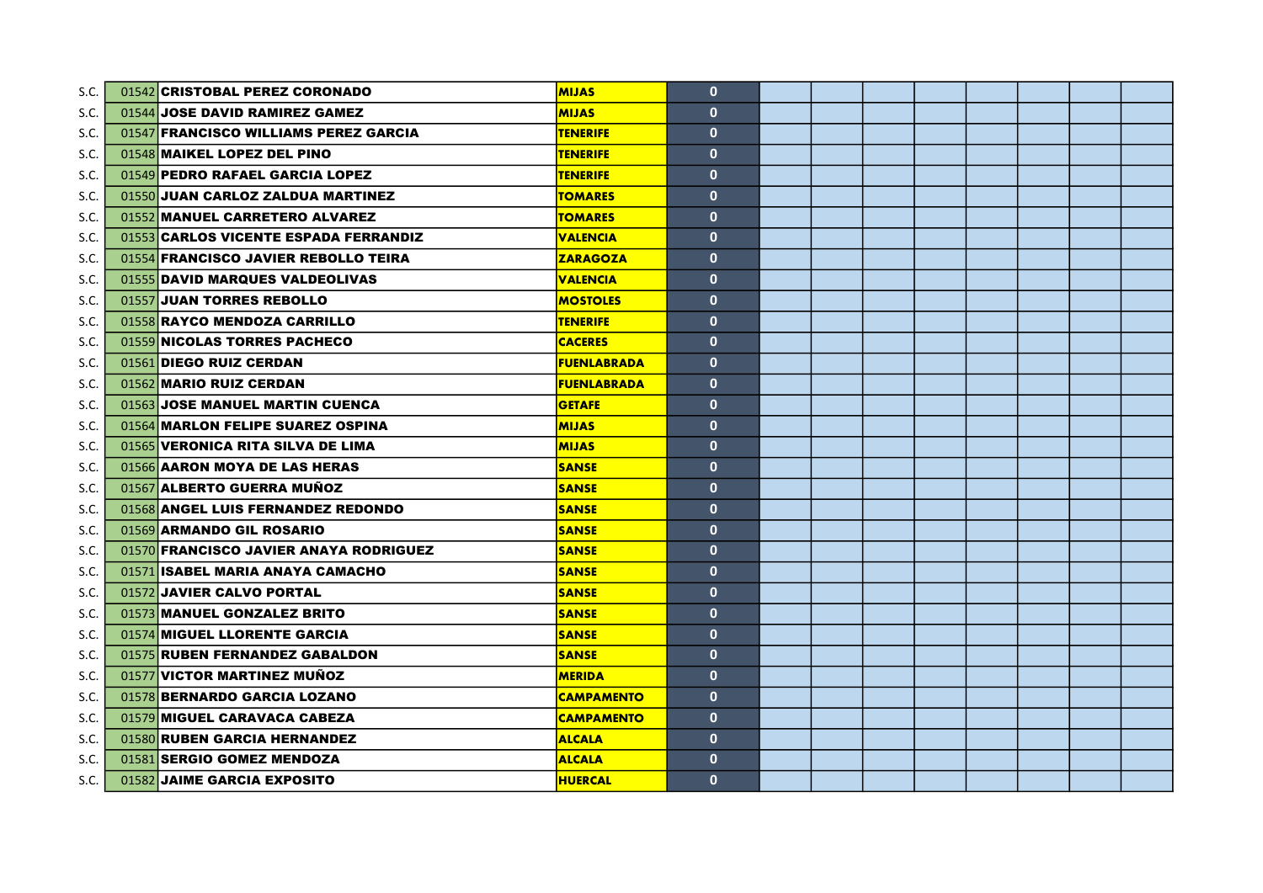| S.C. | 01542 CRISTOBAL PEREZ CORONADO         | <b>MIJAS</b>       | $\mathbf{0}$ |  |  |  |  |
|------|----------------------------------------|--------------------|--------------|--|--|--|--|
| S.C. | 01544 JOSE DAVID RAMIREZ GAMEZ         | <b>MIJAS</b>       | $\mathbf{0}$ |  |  |  |  |
| S.C. | 01547 FRANCISCO WILLIAMS PEREZ GARCIA  | <b>TENERIFE</b>    | $\mathbf{0}$ |  |  |  |  |
| S.C. | 01548 MAIKEL LOPEZ DEL PINO            | <b>TENERIFE</b>    | $\mathbf{0}$ |  |  |  |  |
| S.C. | 01549 PEDRO RAFAEL GARCIA LOPEZ        | <b>TENERIFE</b>    | $\mathbf{0}$ |  |  |  |  |
| S.C. | 01550 JUAN CARLOZ ZALDUA MARTINEZ      | <b>TOMARES</b>     | $\mathbf{0}$ |  |  |  |  |
| S.C. | 01552 MANUEL CARRETERO ALVAREZ         | <b>TOMARES</b>     | $\mathbf{0}$ |  |  |  |  |
| S.C. | 01553 CARLOS VICENTE ESPADA FERRANDIZ  | <b>VALENCIA</b>    | $\mathbf{0}$ |  |  |  |  |
| S.C. | 01554 FRANCISCO JAVIER REBOLLO TEIRA   | <b>ZARAGOZA</b>    | $\mathbf{0}$ |  |  |  |  |
| S.C. | 01555 DAVID MARQUES VALDEOLIVAS        | <b>VALENCIA</b>    | $\mathbf{0}$ |  |  |  |  |
| S.C. | 01557 JUAN TORRES REBOLLO              | <b>MOSTOLES</b>    | $\mathbf{0}$ |  |  |  |  |
| S.C. | 01558 RAYCO MENDOZA CARRILLO           | <b>TENERIFE</b>    | $\mathbf{0}$ |  |  |  |  |
| S.C. | 01559 NICOLAS TORRES PACHECO           | <b>CACERES</b>     | $\mathbf{0}$ |  |  |  |  |
| S.C. | 01561 DIEGO RUIZ CERDAN                | <b>FUENLABRADA</b> | $\mathbf{0}$ |  |  |  |  |
| S.C. | 01562 MARIO RUIZ CERDAN                | <b>FUENLABRADA</b> | $\mathbf{0}$ |  |  |  |  |
| S.C. | 01563 JOSE MANUEL MARTIN CUENCA        | <b>GETAFE</b>      | $\mathbf{0}$ |  |  |  |  |
| S.C. | 01564 MARLON FELIPE SUAREZ OSPINA      | <b>MIJAS</b>       | $\mathbf{0}$ |  |  |  |  |
| S.C. | 01565 VERONICA RITA SILVA DE LIMA      | <b>MIJAS</b>       | $\mathbf{0}$ |  |  |  |  |
| S.C. | 01566 AARON MOYA DE LAS HERAS          | <b>SANSE</b>       | $\mathbf{0}$ |  |  |  |  |
| S.C. | 01567 ALBERTO GUERRA MUÑOZ             | <b>SANSE</b>       | $\mathbf{0}$ |  |  |  |  |
| S.C. | 01568 ANGEL LUIS FERNANDEZ REDONDO     | <b>SANSE</b>       | $\mathbf{0}$ |  |  |  |  |
| S.C. | 01569 ARMANDO GIL ROSARIO              | <b>SANSE</b>       | $\mathbf{0}$ |  |  |  |  |
| S.C. | 01570 FRANCISCO JAVIER ANAYA RODRIGUEZ | <b>SANSE</b>       | $\mathbf{0}$ |  |  |  |  |
| S.C. | 01571 ISABEL MARIA ANAYA CAMACHO       | <b>SANSE</b>       | $\mathbf{0}$ |  |  |  |  |
| S.C. | 01572 JAVIER CALVO PORTAL              | <b>SANSE</b>       | $\mathbf{0}$ |  |  |  |  |
| S.C. | 01573 MANUEL GONZALEZ BRITO            | <b>SANSE</b>       | $\mathbf{0}$ |  |  |  |  |
| S.C. | 01574 MIGUEL LLORENTE GARCIA           | <b>SANSE</b>       | $\mathbf{0}$ |  |  |  |  |
| S.C. | 01575 RUBEN FERNANDEZ GABALDON         | <b>SANSE</b>       | $\mathbf{0}$ |  |  |  |  |
| S.C. | 01577 VICTOR MARTINEZ MUÑOZ            | <b>MERIDA</b>      | $\mathbf{0}$ |  |  |  |  |
| S.C. | 01578 BERNARDO GARCIA LOZANO           | <b>CAMPAMENTO</b>  | $\mathbf{0}$ |  |  |  |  |
| S.C. | 01579 MIGUEL CARAVACA CABEZA           | <b>CAMPAMENTO</b>  | $\mathbf{0}$ |  |  |  |  |
| S.C. | 01580 RUBEN GARCIA HERNANDEZ           | <b>ALCALA</b>      | $\mathbf{0}$ |  |  |  |  |
| S.C. | 01581 SERGIO GOMEZ MENDOZA             | <b>ALCALA</b>      | $\mathbf{0}$ |  |  |  |  |
| S.C. | 01582 JAIME GARCIA EXPOSITO            | <b>HUERCAL</b>     | $\mathbf{0}$ |  |  |  |  |